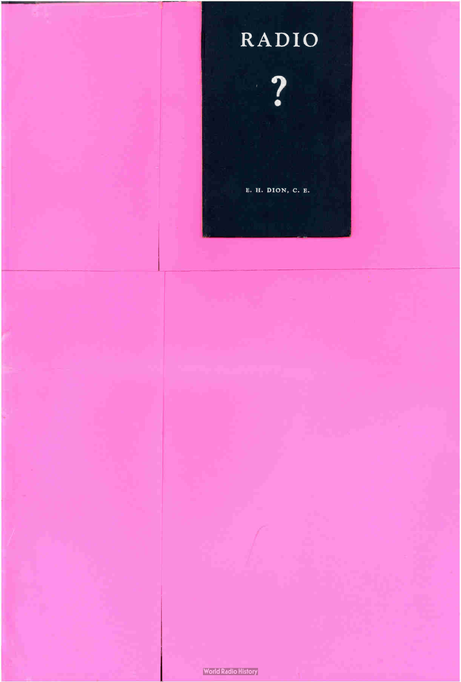**?** 

E. H. DION, C. E.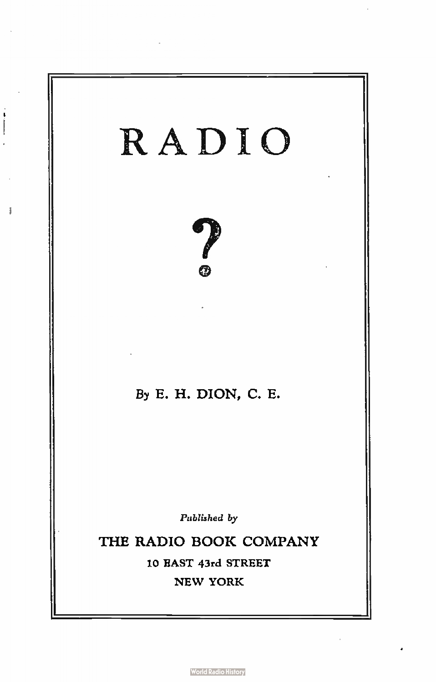

î

**World Radio History**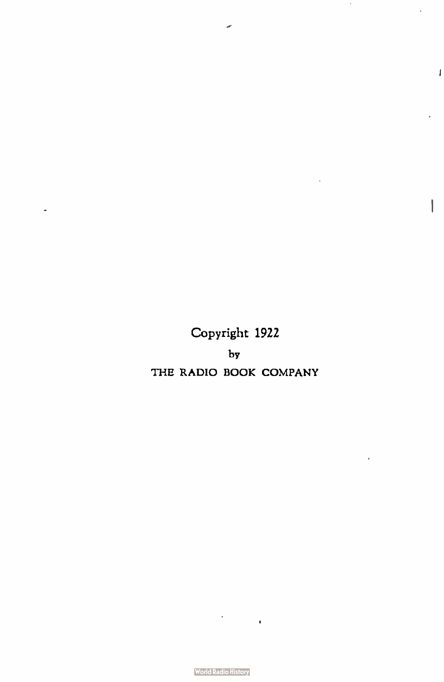Copyright 1922  $_{\text{by}}$ THE RADIO BOOK COMPANY

J.

**State** 

1

!

**World Radio History**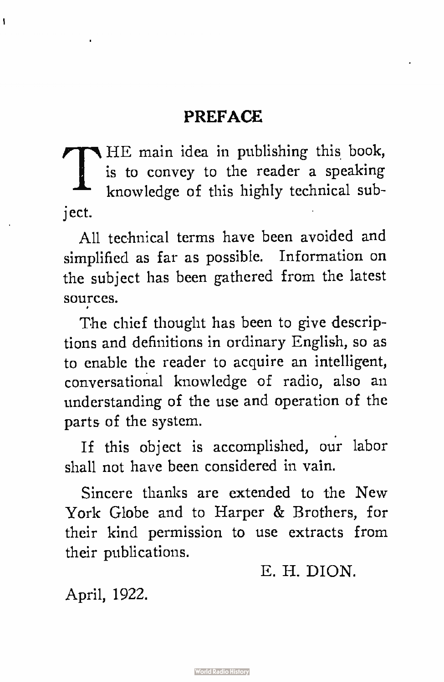#### PREFACE

 $\bigcap \frac{1}{k}$ HE main idea in publishing this book, is to convey to the reader a speaking knowledge of this highly technical subject.

All technical terms have been avoided and simplified as far as possible. Information on the subject has been gathered from the latest sources.

The chief thought has been to give descriptions and definitions in ordinary English, so as to enable the reader to acquire an intelligent, conversational knowledge of radio, also an understanding of the use and operation of the parts of the system.

If this object is accomplished, our labor shall not have been considered in vain.

Sincere thanks are extended to the New York Globe and to Harper & Brothers, for their kind permission to use extracts from their publications.

E. H. DION.

April, 1922.

ł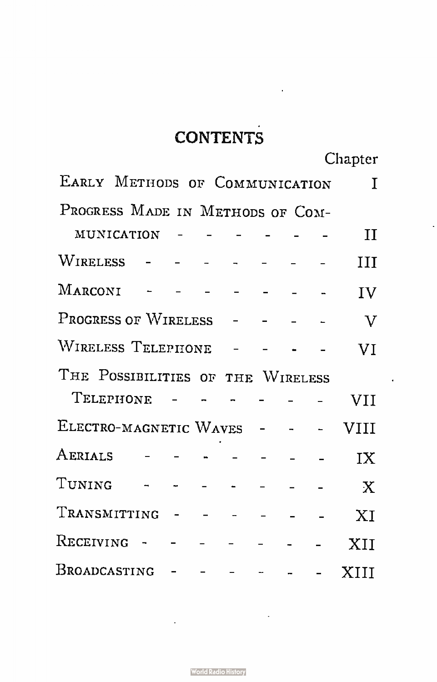## **CONTENTS**

Chapter

| EARLY METHODS OF COMMUNICATION    |                                 |  |  |  |  |  |  |  | I            |  |
|-----------------------------------|---------------------------------|--|--|--|--|--|--|--|--------------|--|
| PROGRESS MADE IN METHODS OF COM-  |                                 |  |  |  |  |  |  |  |              |  |
|                                   | $MUNICATION$ - - - - - -        |  |  |  |  |  |  |  | П            |  |
|                                   | WIRELESS - - - - - - - -        |  |  |  |  |  |  |  | Ш            |  |
|                                   | $MARCONI$ - - - - - - -         |  |  |  |  |  |  |  | IV           |  |
| PROGRESS OF WIRELESS - - - -      |                                 |  |  |  |  |  |  |  | $\mathbf{V}$ |  |
| WIRELESS TELEPHONE - - - -        |                                 |  |  |  |  |  |  |  | VI           |  |
| THE POSSIBILITIES OF THE WIRELESS |                                 |  |  |  |  |  |  |  |              |  |
|                                   | TELEPHONE $    -$               |  |  |  |  |  |  |  | <b>VII</b>   |  |
| ELECTRO-MAGNETIC WAVES - - -      |                                 |  |  |  |  |  |  |  | <b>VIII</b>  |  |
|                                   | AERIALS - - - - - - -           |  |  |  |  |  |  |  | IX           |  |
|                                   | TUNING $     -$                 |  |  |  |  |  |  |  | $\mathbf{X}$ |  |
| TRANSMITTING - - - - - - - XI     |                                 |  |  |  |  |  |  |  |              |  |
|                                   | RECEIVING - - - - - - - -       |  |  |  |  |  |  |  | XII          |  |
|                                   | Broadcasting - - - - - - - XIII |  |  |  |  |  |  |  |              |  |

j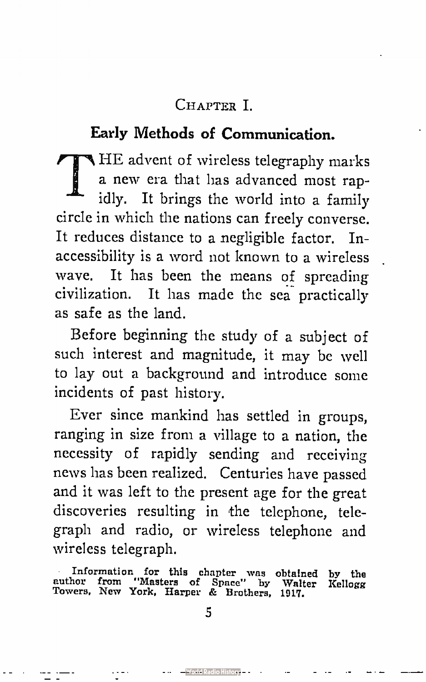#### CHAPTER 1.

#### Early Methods of Communication.

HE advent of wireless telegraphy marks a new era that has advanced most rapidly. It brings the world into a family circle in which the nations can freely converse. It reduces distance to a negligible factor. Inaccessibility is a word not known to a wireless wave. It has been the means of spreading civilization. It has made the sea practically as safe as the land.

Before beginning the study of a subject of such interest and magnitude, it may be well to lay out a background and introduce some incidents of past history.

Ever since mankind has settled in groups, ranging in size from a village to a nation, the necessity of rapidly sending and receiving news has been realized. Centuries have passed and it was left to the present age for the great discoveries resulting in the telephone, telegraph and radio, or wireless telephone and wireless telegraph.

Information for this chapter was obtained by the author from "Masters of Space" by Walter Kellogg Towers, New York, Harper & Brothers, 1917.

5

-World Radio History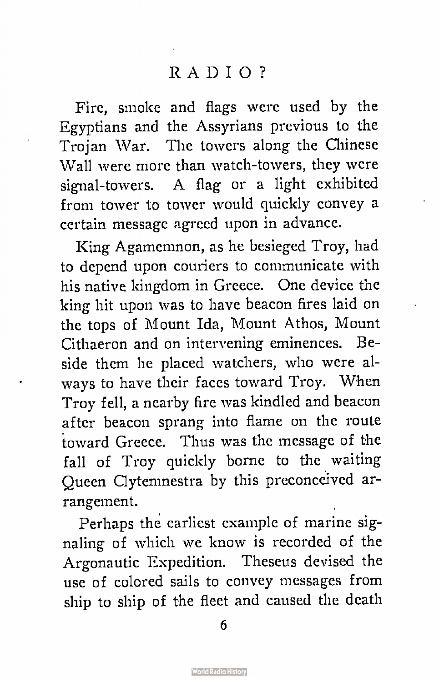Fire, smoke and flags were used by the Egyptians and the Assyrians previous to the Trojan War. The towers along the Chinese Wall were more than watch-towers, they were signal- towers. A flag or a light exhibited from tower to tower would quickly convey a certain message agreed upon in advance.

King Agamemnon, as he besieged Troy, had to depend upon couriers to communicate with his native kingdom in Greece. One device the king hit upon was to have beacon fires laid on the tops of Mount Ida, Mount Athos, Mount Cithaeron and on intervening eminences. Beside them he placed watchers, who were always to have their faces toward Troy. When Troy fell, a nearby fire was kindled and beacon after beacon sprang into flame on the route toward Greece. Thus was the message of the fall of Troy quickly borne to the waiting Queen Clytemnestra by this preconceived arrangement.

Perhaps the earliest example of marine signaling of which we know is recorded of the Argonautic Expedition. Theseus devised the use of colored sails to convey messages from ship to ship of the fleet and caused the death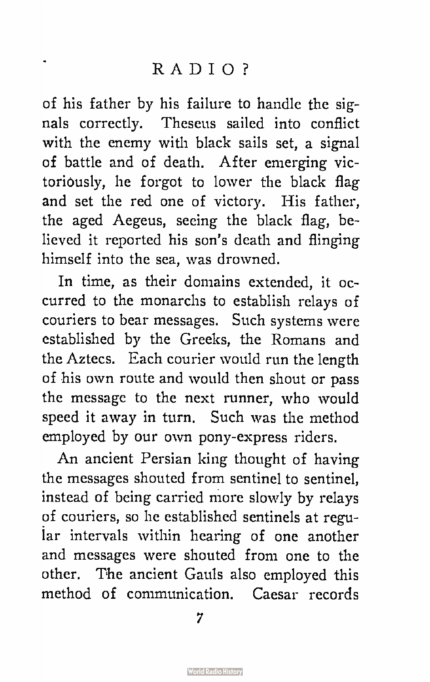Ĭ.

of his father by his failure to handle the signals correctly. Theseus sailed into conflict with the enemy with black sails set, a signal of battle and of death. After emerging victoriously, he forgot to lower the black flag and set the red one of victory. His father, the aged Aegeus, seeing the black flag, believed it reported his son's death and flinging himself into the sea, was drowned.

In time, as their domains extended, it occurred to the monarchs to establish relays of couriers to bear messages. Such systems were established by the Greeks, the Romans and the Aztecs. Each courier would run the length of his own route and would then shout or pass the message to the next runner, who would speed it away in turn. Such was the method employed by our own pony-express riders.

An ancient Persian king thought of having the messages shouted from sentinel to sentinel, instead of being carried more slowly by relays of couriers, so he established sentinels at regular intervals within hearing of one another and messages were shouted from one to the other. The ancient Gauls also employed this method of communication. Caesar records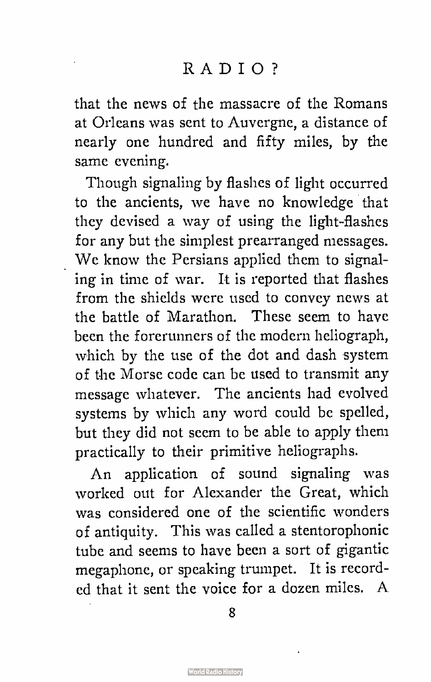that the news of the massacre of the Romans at Orleans was sent to Auvergne, a distance of nearly one hundred and fifty miles, by the same evening.

Though signaling by flashes of light occurred to the ancients, we have no knowledge that they devised a way of using the light-flashes for any but the simplest prearranged messages. We know the Persians applied them to signaling in time of war. It is reported that flashes from the shields were used to convey news at the battle of Marathon. These seem to have been the forerunners of the modern heliograph, which by the use of the dot and dash system of the Morse code can be used to transmit any message whatever. The ancients had evolved systems by which any word could be spelled, but they did not seem to be able to apply them practically to their primitive heliographs.

An application of sound signaling was worked out for Alexander the Great, which was considered one of the scientific wonders of antiquity. This was called a stentorophonic tube and seems to have been a sort of gigantic megaphone, or speaking trumpet. It is recorded that it sent the voice for a dozen miles. A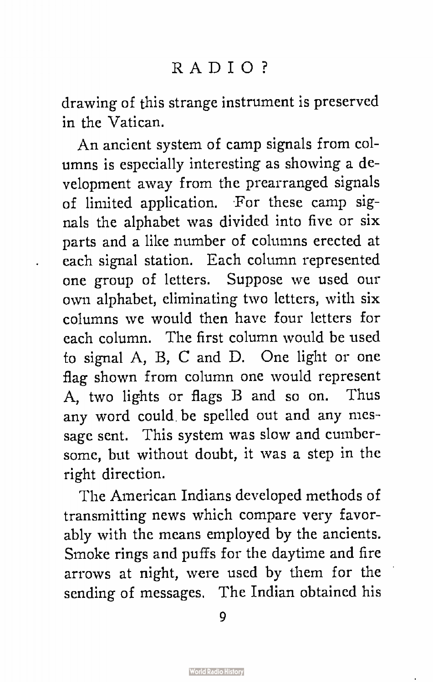drawing of this strange instrument is preserved in the Vatican.

An ancient system of camp signals from columns is especially interesting as showing a development away from the prearranged signals of limited application. For these camp signals the alphabet was divided into five or six parts and a like number of columns erected at each signal station. Each column represented one group of letters. Suppose we used our own alphabet, eliminating two letters, with six columns we would then have four letters for each column. The first column would be used to signal A, B, C and D. One light or one flag shown from column one would represent A, two lights or flags B and so on. Thus any word could be spelled out and any message sent. This system was slow and cumbersome, but without doubt, it was a step in the right direction.

The American Indians developed methods of transmitting news which compare very favorably with the means employed by the ancients. Smoke rings and puffs for the daytime and fire arrows at night, were used by them for the sending of messages. The Indian obtained his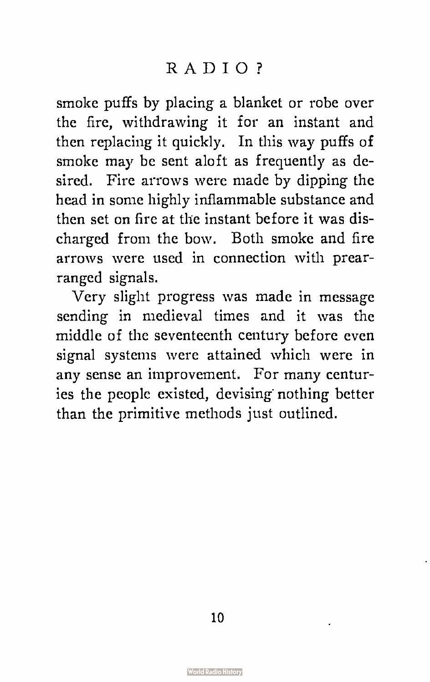smoke puffs by placing a blanket or robe over the fire, withdrawing it for an instant and then replacing it quickly. In this way puffs of smoke may be sent aloft as frequently as desired. Fire arrows were made by dipping the head in some highly inflammable substance and then set on fire at the instant before it was discharged from the bow. Both smoke and fire arrows were used in connection with prearranged signals.

Very slight progress was made in message sending in medieval times and it was the middle of the seventeenth century before even signal systems were attained which were in any sense an improvement. For many centuries the people existed, devising nothing better than the primitive methods just outlined.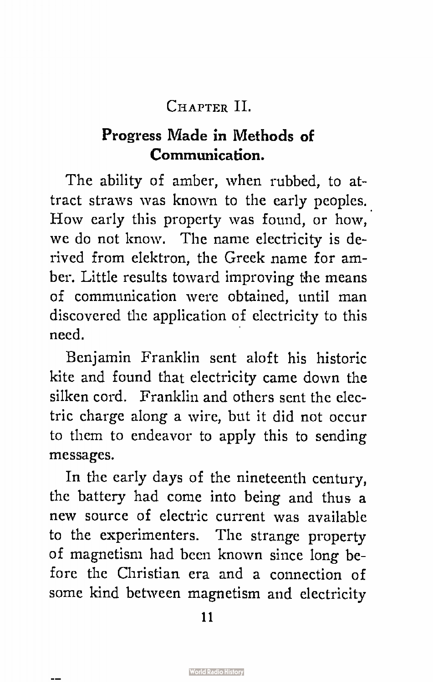#### CHAPTER II.

#### Progress Made in Methods of Communication.

The ability of amber, when rubbed, to attract straws was known to the early peoples.. How early this property was found, or how, we do not know. The name electricity is derived from elektron, the Greek name for amber. Little results toward improving the means of communication were obtained, until man discovered the application of electricity to this need.

Benjamin Franklin sent aloft his historic kite and found that electricity came down the silken cord. Franklin and others sent the electric charge along a wire, but it did not occur to them to endeavor to apply this to sending messages.

In the early days of the nineteenth century, the battery had come into being and thus a new source of electric current was available to the experimenters. The strange property of magnetism had been known since long before the Christian era and a connection of some kind between magnetism and electricity

11

 $\overline{\phantom{a}}$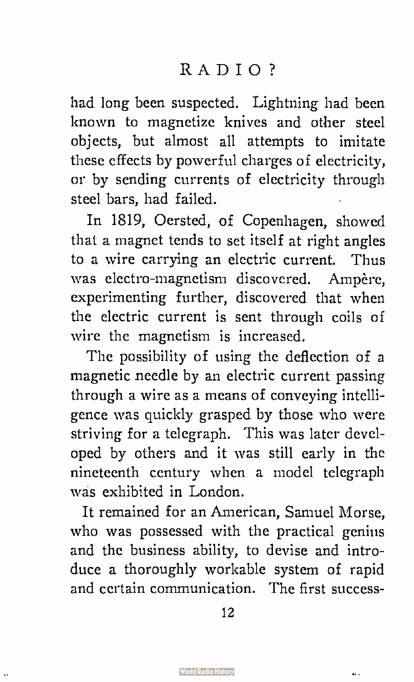had long been suspected. Lightning had been known to magnetize knives and other steel objects, but almost all attempts to imitate these effects by powerful charges of electricity, or by sending currents of electricity through steel bars, had failed.

In 1819, Oersted, of Copenhagen, showed that a magnet tends to set itself at right angles to a wire carrying an electric current. Thus was electro -magnetism discovered. Ampère, experimenting further, discovered that when the electric current is sent through coils of wire the magnetism is increased.

The possibility of using the deflection of a magnetic needle by an electric current passing through a wire as a means of conveying intelligence was quickly grasped by those who were striving for a telegraph. This was later developed by others and it was still early in the nineteenth century when a model telegraph was exhibited in London.

It remained for an American, Samuel Morse, who was possessed with the practical genius and the business ability, to devise and introduce a thoroughly workable system of rapid and certain communication. The first success-

 $\ddotsc$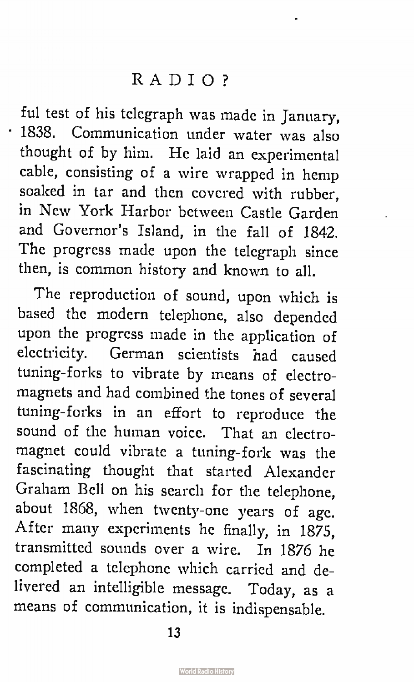ful test of his telegraph was made in January, • 1838. Communication under water was also thought of by him. He laid an experimental cable, consisting of a wire wrapped in hemp soaked in tar and then covered with rubber, in New York Harbor between Castle Garden and Governor's Island, in the fall of 1842. The progress made upon the telegraph since then, is common history and known to all.

The reproduction of sound, upon which is based the modern telephone, also depended upon the progress made in the application of electricity. German scientists had caused tuning-forks to vibrate by means of electromagnets and had combined the tones of several tuning- forks in an effort to reproduce the sound of the human voice. That an electromagnet could vibrate a tuning-fork was the fascinating thought that started Alexander Graham Bell on his search for the telephone, about 1868, when twenty-one years of age. After many experiments he finally, in 1875, transmitted sounds over a wire. In 1876 he completed a telephone which carried and delivered an intelligible message. Today, as a means of communication, it is indispensable.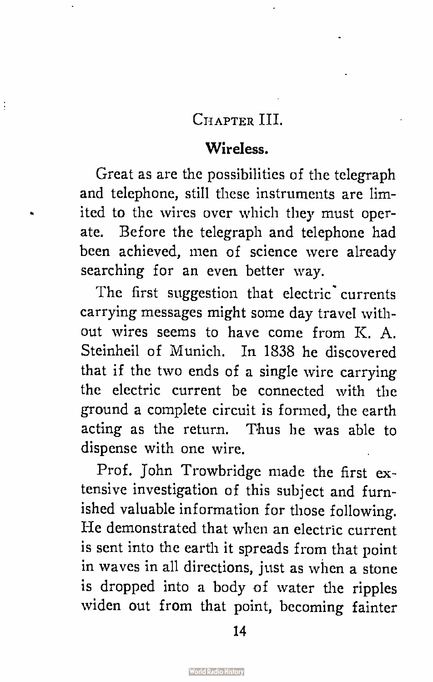#### CHAPTER III.

 $\ddot{\cdot}$ 

#### Wireless.

Great as are the possibilities of the telegraph and telephone, still these instruments are limited to the wires over which they must operate. Before the telegraph and telephone had been achieved, men of science were already searching for an even better way.

The first suggestion that electric currents carrying messages might some day travel without wires seems to have come from K. A. Steinheil of Munich. In 1838 he discovered that if the two ends of a single wire carrying the electric current be connected with the ground a complete circuit is formed, the earth acting as the return. Thus he was able to dispense with one wire.

Prof. John Trowbridge made the first extensive investigation of this subject and furnished valuable information for those following. He demonstrated that when an electric current is sent into the earth it spreads from that point in waves in all directions, just as when a stone is dropped into a body of water the ripples widen out from that point, becoming fainter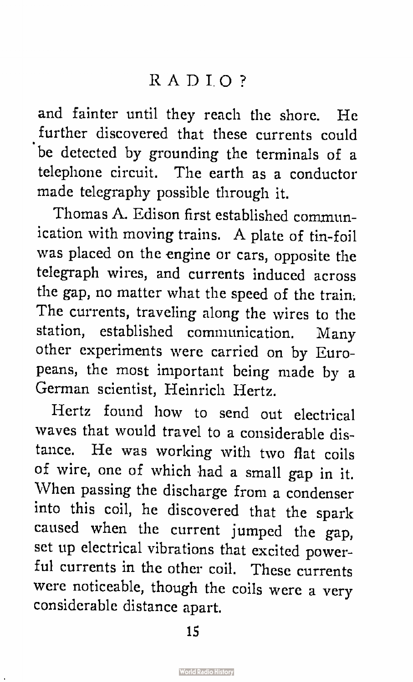and fainter until they reach the shore. He further discovered that these currents could be detected by grounding the terminals of a telephone circuit. The earth as a conductor made telegraphy possible through it.

Thomas A. Edison first established communication with moving trains. A plate of tin-foil was placed on the engine or cars, opposite the telegraph wires, and currents induced across the gap, no matter what the speed of the train. The currents, traveling along the wires to the station, established communication. Many other experiments were carried on by Europeans, the most important being made by a German scientist, Heinrich Hertz.

Hertz found how to send out electrical waves that would travel to a considerable distance. He was working with two flat coils of wire, one of which had a small gap in it. When passing the discharge from a condenser into this coil, he discovered that the spark caused when the current jumped the gap, set up electrical vibrations that excited powerful currents in the other coil. These currents were noticeable, though the coils were a very considerable distance apart.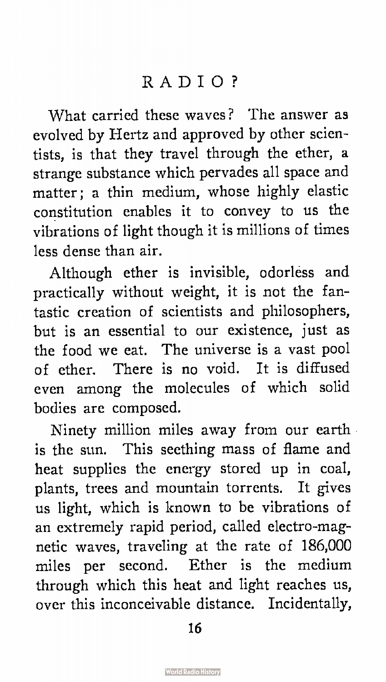What carried these waves? The answer as evolved by Hertz and approved by other scientists, is that they travel through the ether, a strange substance which pervades all space and matter; a thin medium, whose highly elastic constitution enables it to convey to us the vibrations of light though it is millions of times less dense than air.

Although ether is invisible, odorless and practically without weight, it is not the fantastic creation of scientists and philosophers, but is an essential to our existence, just as the food we eat. The universe is a vast pool of ether. There is no void. It is diffused even among the molecules of which solid bodies are composed.

Ninety million miles away from our earth is the sun. This seething mass of flame and heat supplies the energy stored up in coal, plants, trees and mountain torrents. It gives us light, which is known to be vibrations of an extremely rapid period, called electro-magnetic waves, traveling at the rate of 186,000 miles per second. Ether is the medium through which this heat and light reaches us, over this inconceivable distance. Incidentally,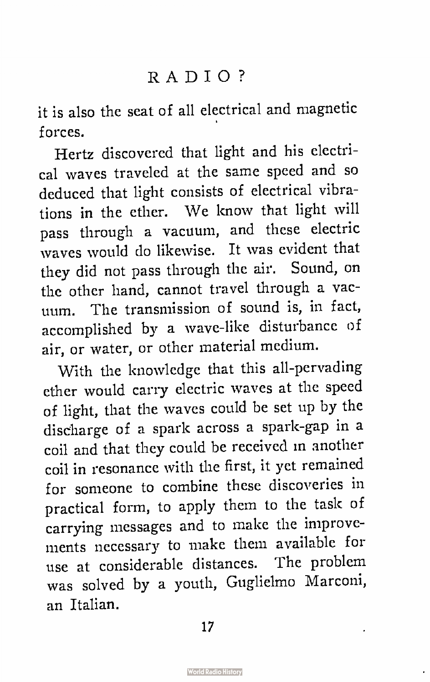it is also the seat of all electrical and magnetic forces.

Hertz discovered that light and his electrical wayes traveled at the same speed and so deduced that light consists of electrical vibrations in the ether. We know that light will pass through a vacuum, and these electric waves would do likewise. It was evident that they did not pass through the air. Sound, on the other hand, cannot travel through a vacuum. The transmission of sound is, in fact, accomplished by a wave-like disturbance of air, or water, or other material medium.

With the knowledge that this all-pervading ether would carry electric waves at the speed of light, that the waves could be set up by the discharge of a spark across a spark-gap in a coil and that they could be received in another coil in resonance with the first, it yet remained for someone to combine these discoveries in practical form, to apply them to the task of carrying messages and to make the improvements necessary to make them available for use at considerable distances. The problem was solved by a youth, Guglielmo Marconi, an Italian.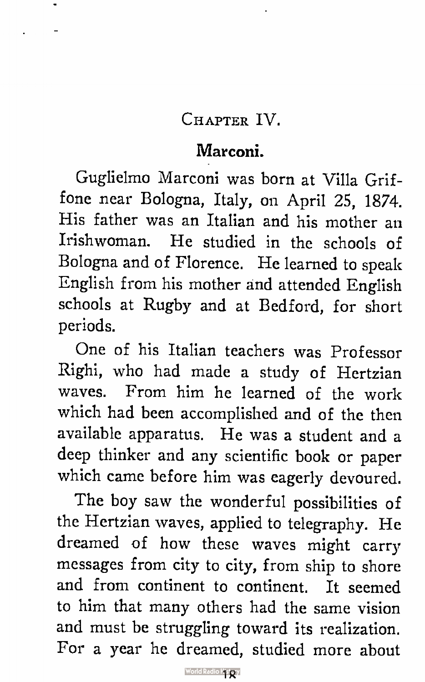#### CHAPTER IV.

#### Marconi.

Guglielmo Marconi was born at Villa Griffone near Bologna, Italy, on April 25, 1874. His father was an Italian and his mother an Irishwoman. He studied in the schools of Bologna and of Florence. He learned to speak English from his mother and attended English schools at Rugby and at Bedford, for short periods.

One of his Italian teachers was Professor Righi, who had made a study of Hertzian waves. From him he learned of the work which had been accomplished and of the then available apparatus. He was a student and a deep thinker and any scientific book or paper which came before him was eagerly devoured.

The boy saw the wonderful possibilities of the Hertzian waves, applied to telegraphy. He dreamed of how these waves might carry messages from city to city, from ship to shore and from continent to continent. It seemed to him that many others had the same vision and must be struggling toward its realization. For a year he dreamed, studied more about

World Radio Kistory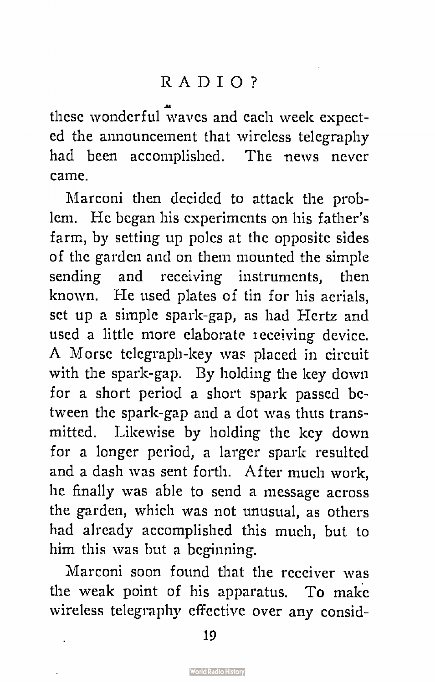these wonderful  $\mathbf{\hat{w}}$ aves and each week expected the announcement that wireless telegraphy had been accomplished. The news never came.

Marconi then decided to attack the problem. He began his experiments on his father's farm, by setting up poles at the opposite sides of the garden and on them mounted the simple sending and receiving instruments, then known. He used plates of tin for his aerials, set up a simple spark-gap, as had Hertz and used a little more elaborate receiving device. A Morse telegraph-key was placed in circuit with the spark-gap. By holding the key down for a short period a short spark passed between the spark-gap and a dot was thus transmitted. Likewise by holding the key down for a longer period, a larger spark resulted and a dash was sent forth. After much work, he finally was able to send a message across the garden, which was not unusual, as others had already accomplished this much, but to him this was but a beginning.

Marconi soon found that the receiver was the weak point of his apparatus. To make wireless telegraphy effective over any consid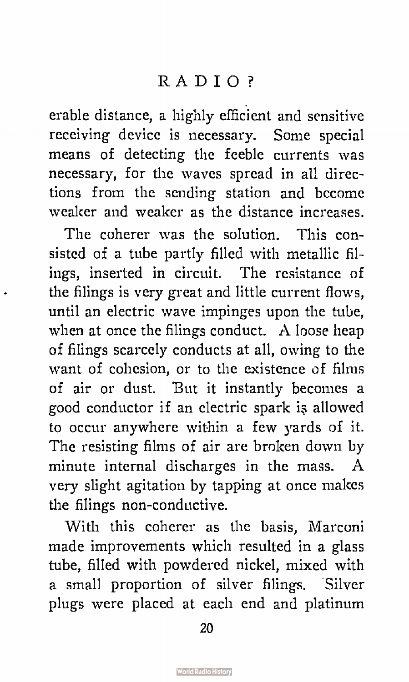erable distance, a highly efficient and sensitive receiving device is necessary. Some special means of detecting the feeble currents was necessary, for the waves spread in all directions from the sending station and become weaker and weaker as the distance increases.

The coherer was the solution. This consisted of a tube partly filled with metallic filings, inserted in circuit. The resistance of the filings is very great and little current flows, until an electric wave impinges upon the tube, when at once the filings conduct. A loose heap of filings scarcely conducts at all, owing to the want of cohesion, or to the existence of films of air or dust. But it instantly becomes a good conductor if an electric spark is allowed to occur anywhere within a few yards of it. The resisting films of air are broken down by minute internal discharges in the mass. A very slight agitation by tapping at once makes the filings non-conductive.

With this coherer as the basis, Marconi made improvements which resulted in a glass tube, filled with powdered nickel, mixed with a small proportion of silver filings. Silver plugs were placed at each end and platinum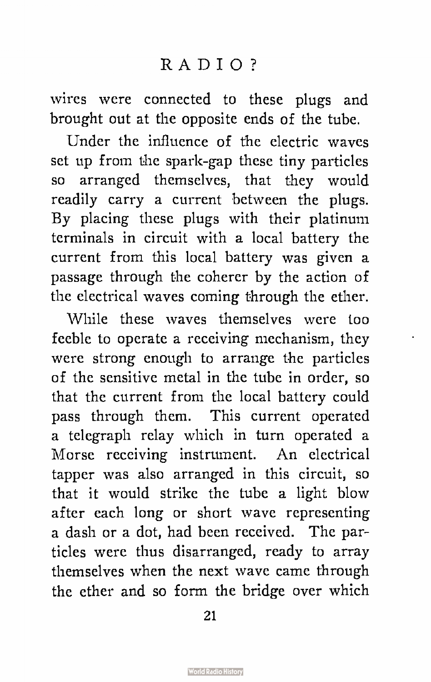wires were connected to these plugs and brought out at the opposite ends of the tube.

Under the influence of the electric waves set up from the spark-gap these tiny particles so arranged themselves, that they would readily carry a current between the plugs. By placing these plugs with their platinum terminals in circuit with a local battery the current from this local battery was given a passage through the coherer by the action of the electrical waves coming through the ether.

While these waves themselves were too feeble to operate a receiving mechanism, they were strong enough to arrange the particles of the sensitive metal in the tube in order, so that the current from the local battery could pass through them. This current operated a telegraph relay which in turn operated a Morse receiving instrument. An electrical tapper was also arranged in this circuit, so that it would strike the tube a light blow after each long or short wave representing a dash or a dot, had been received. The particles were thus disarranged, ready to array themselves when the next wave came through the ether and so form the bridge over which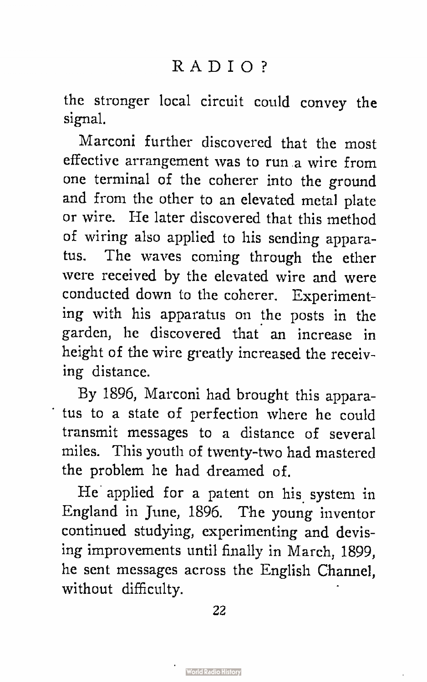the stronger local circuit could convey the signal.

Marconi further discovered that the most effective arrangement was to run a wire from one terminal of the coherer into the ground and from the other to an elevated metal plate or wire. He later discovered that this method of wiring also applied to his sending apparatus. The waves coming through the ether were received by the elevated wire and were conducted down to the coherer. Experimenting with his apparatus on the posts in the garden, he discovered that an increase in height of the wire greatly increased the receiving distance.

By 1896, Marconi had brought this apparatus to a state of perfection where he could transmit messages to a distance of several miles. This youth of twenty-two had mastered the problem he had dreamed of.

He applied for a patent on his system in England in June, 1896. The young inventor continued studying, experimenting and devising improvements until finally in March, 1899, he sent messages across the English Channel, without difficulty.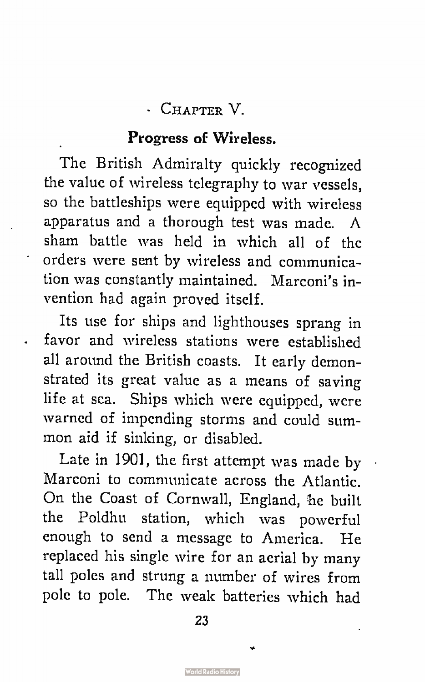#### • CHAPTER V.

#### Progress of Wireless.

The British Admiralty quickly recognized the value of wireless telegraphy to war vessels, so the battleships were equipped with wireless apparatus and a thorough test was made. A sham battle was held in which all of the orders were sent by wireless and communication was constantly maintained. Marconi's invention had again proved itself.

Its use for ships and lighthouses sprang in favor and wireless stations were established all around the British coasts. It early demonstrated its great value as a means of saving life at sea. Ships which were equipped, were warned of impending storms and could summon aid if sinking, or disabled.

Late in 1901, the first attempt was made by Marconi to communicate across the Atlantic. On the Coast of Cornwall, England, he built the Poldhu station, which was powerful enough to send a message to America. He replaced his single wire for an aerial by many tall poles and strung a number of wires from pole to pole. The weak batteries which had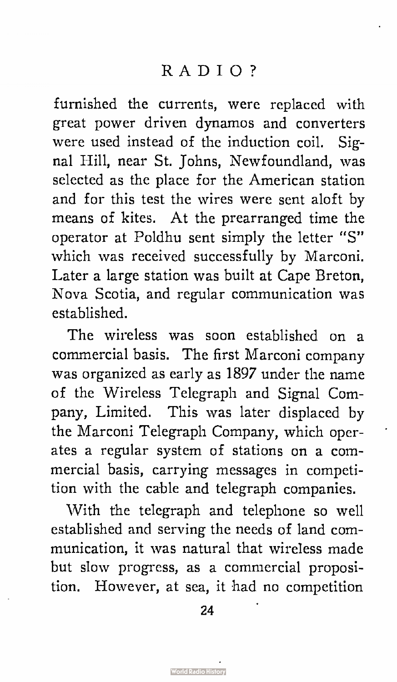furnished the currents, were replaced with great power driven dynamos and converters were used instead of the induction coil. Signal Hill, near St. Johns, Newfoundland, was selected as the place for the American station and for this test the wires were sent aloft by means of kites. At the prearranged time the operator at Poldhu sent simply the letter "S" which was received successfully by Marconi. Later a large station was built at Cape Breton, Nova Scotia, and regular communication was established.

The wireless was soon established on a commercial basis. The first Marconi company was organized as early as 1897 under the name of the Wireless Telegraph and Signal Company, Limited. This was later displaced by the Marconi Telegraph Company, which operates a regular system of stations on a commercial basis, carrying messages in competition with the cable and telegraph companies.

With the telegraph and telephone so well established and serving the needs of land communication, it was natural that wireless made but slow progress, as a commercial proposition. However, at sea, it had no competition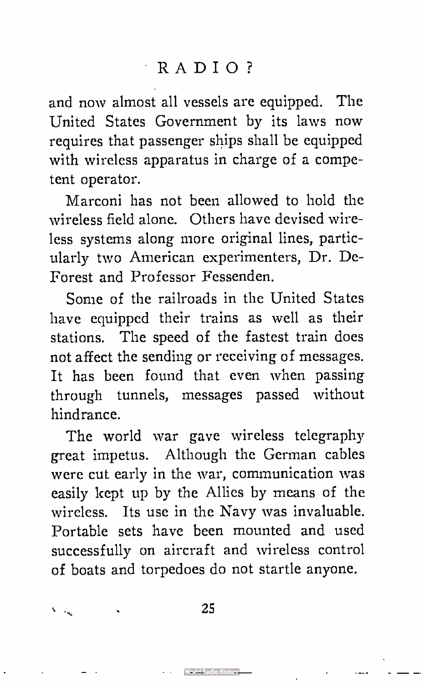and now almost all vessels are equipped. The United States Government by its laws now requires that passenger ships shall be equipped with wireless apparatus in charge of a competent operator.

Marconi has not been allowed to hold the wireless field alone. Others have devised wireless systems along more original lines, particularly two American experimenters, Dr. De-Forest and Professor Fessenden.

Some of the railroads in the United States have equipped their trains as well as their stations. The speed of the fastest train does not affect the sending or receiving of messages. It has been found that even when passing through tunnels, messages passed without hindrance.

The world war gave wireless telegraphy great impetus. Although the German cables were cut early in the war, communication was easily kept up by the Allies by means of the wireless. Its use in the Navy was invaluable. Portable sets have been mounted and used successfully on aircraft and wireless control of boats and torpedoes do not startle anyone.

25

Werke Radio Histor

Village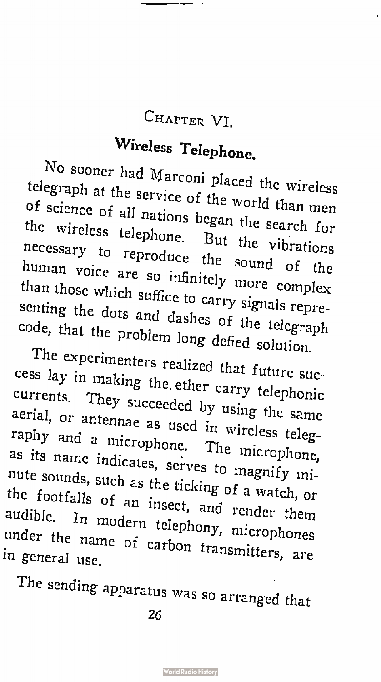#### CHAPTER VI.

## Wireless Telephone.

No sooner had Marconi placed the wireless telegraph at the service of the world than men of science of all nations began the search for the wireless telephone. But the vibrations necessary to reproduce the sound of the human voice are so infinitely more complex than those which suffice to carry signals representing the dots and dashes of the telegraph code, that the problem long defied solution.

The experimenters realized that future success lay in making the. ether carry telephonic currents. They succeeded by using the same aerial, or antennae as used in wireless telegraphy and a microphone. The microphone, as its name indicates, serves to magnify minute sounds, such as the ticking of a watch, or the footfalls of an insect, and render them audible. In modern telephony, microphones in general use.<br>in general use

The sending apparatus was so arranged that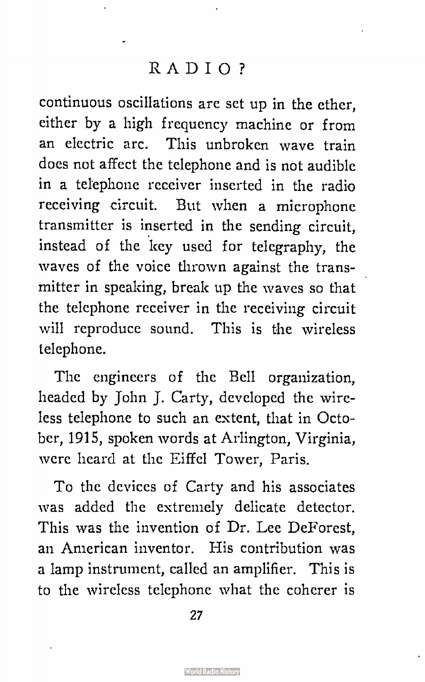continuous oscillations are set up in the ether, either by a high frequency machine or from an electric arc. This unbroken wave train does not affect the telephone and is not audible in a telephone receiver inserted in the radio receiving circuit. But when a microphone transmitter is inserted in the sending circuit, instead of the key used for telegraphy, the waves of the voice thrown against the transmitter in speaking, break up the waves so that the telephone receiver in the receiving circuit will reproduce sound. This is the wireless telephone.

The engineers of the Bell organization, headed by John J. Carty, developed the wireless telephone to such an extent, that in October, 1915, spoken words at Arlington, Virginia, were heard at the Eiffel Tower, Paris.

To the devices of Carty and his associates was added the extremely delicate detector. This was the invention of Dr. Lee DeForest, an American inventor. His contribution was a lamp instrument, called an amplifier. This is to the wireless telephone what the coherer is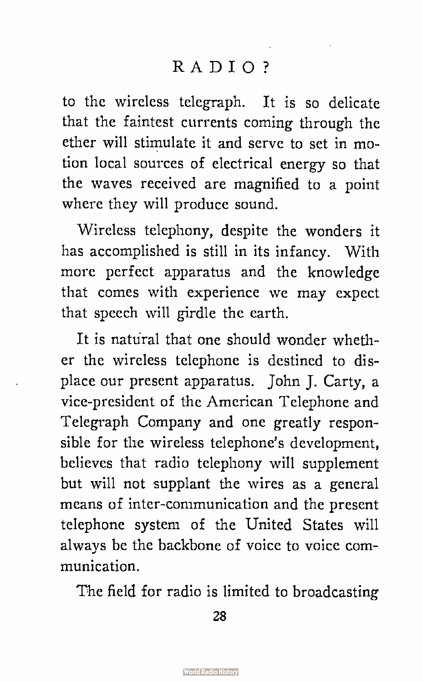to the wireless telegraph. It is so delicate that the faintest currents coming through the ether will stimulate it and serve to set in motion local sources of electrical energy so that the waves received are magnified to a point where they will produce sound.

Wireless telephony, despite the wonders it has accomplished is still in its infancy. With more perfect apparatus and the knowledge that comes with experience we may expect that speech will girdle the earth.

It is natural that one should wonder whether the wireless telephone is destined to displace our present apparatus. John J. Carty, a vice-president of the American Telephone and Telegraph Company and one greatly responsible for the wireless telephone's development, believes that radio telephony will supplement but will not supplant the wires as a general means of inter-communication and the present telephone system of the United States will always be the backbone of voice to voice communication.

The field for radio is limited to broadcasting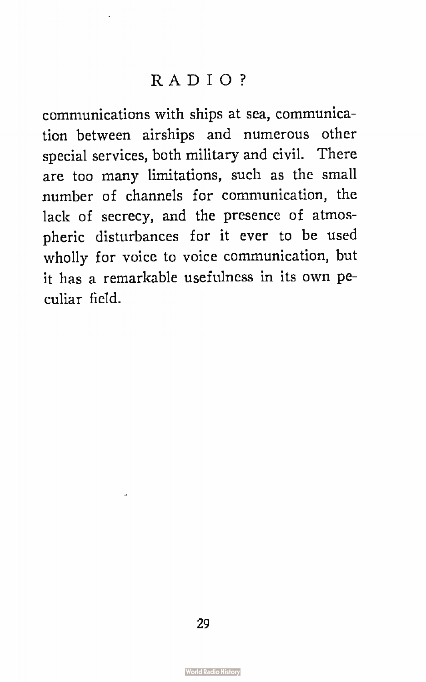communications with ships at sea, communication between airships and numerous other special services, both military and civil. There are too many limitations, such as the small number of channels for communication, the lack of secrecy, and the presence of atmospheric disturbances for it ever to be used wholly for voice to voice communication, but it has a remarkable usefulness in its own peculiar field.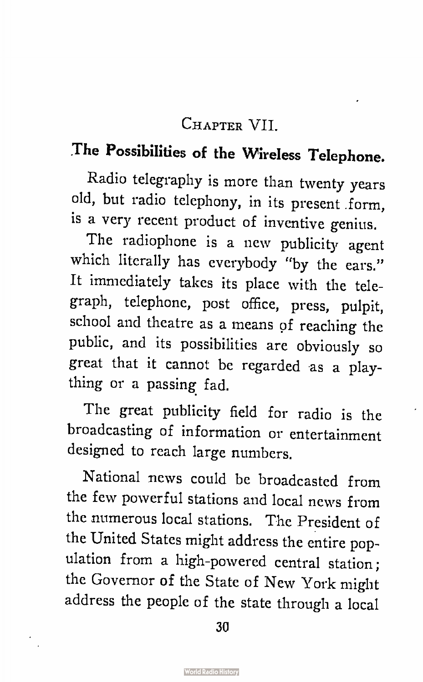#### CHAPTER VII.

### The Possibilities of the Wireless Telephone.

Radio telegraphy is more than twenty years old, but radio telephony, in its present form, is a very recent product of inventive genius.

The radiophone is a new publicity agent which literally has everybody "by the ears." It immediately takes its place with the telegraph, telephone, post office, press, pulpit, school and theatre as a means pf reaching the public, and its possibilities are obviously so great that it cannot be regarded as a plaything or a passing fad.

The great publicity field for radio is the broadcasting of information or entertainment designed to reach large numbers.

National news could be broadcasted from the few powerful stations and local news from the numerous local stations. The President of the United States might address the entire population from a high-powered central station; the Governor of the State of New York might address the people of the state through a local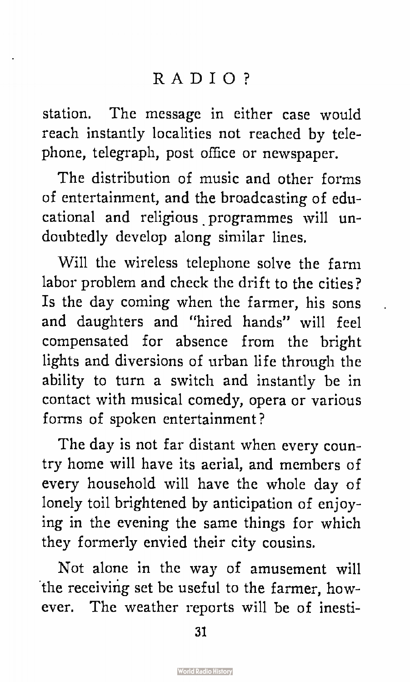station. The message in either case would reach instantly localities not reached by telephone, telegraph, post office or newspaper.

The distribution of music and other forms of entertainment, and the broadcasting of educational and religious programmes will undoubtedly develop along similar lines.

Will the wireless telephone solve the farm labor problem and check the drift to the cities? Is the day coming when the farmer, his sons and daughters and "hired hands" will feel compensated for absence from the bright lights and diversions of urban life through the ability to turn a switch and instantly be in contact with musical comedy, opera or various forms of spoken entertainment?

The day is not far distant when every country home will have its aerial, and members of every household will have the whole day of lonely toil brightened by anticipation of enjoying in the evening the same things for which they formerly envied their city cousins.

Not alone in the way of amusement will the receiving set be useful to the farmer, however. The weather reports will be of inesti-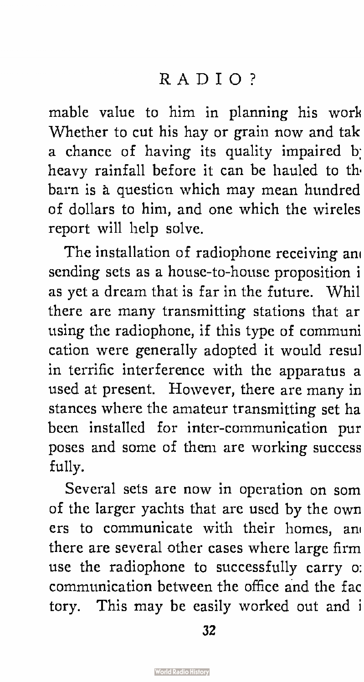mable value to him in planning his work Whether to cut his hay or grain now and tak a chance of having its quality impaired b: heavy rainfall before it can be hauled to th barn is a question which may mean hundred of dollars to him, and one which the wireles report will help solve.

The installation of radiophone receiving am sending sets as a house-to-house proposition i as yet a dream that is far in the future. Whil there are many transmitting stations that ar using the radiophone, if this type of communi cation were generally adopted it would resul in terrific interference with the apparatus a used at present. However, there are many in stances where the amateur transmitting set ha been installed for inter-communication pur poses and some of them are working success fully.

Several sets are now in operation on som of the larger yachts that are used by the own ers to communicate with their homes, an' there are several other cases where large firm use the radiophone to successfully carry o: communication between the office and the fac tory. This may be easily worked out and i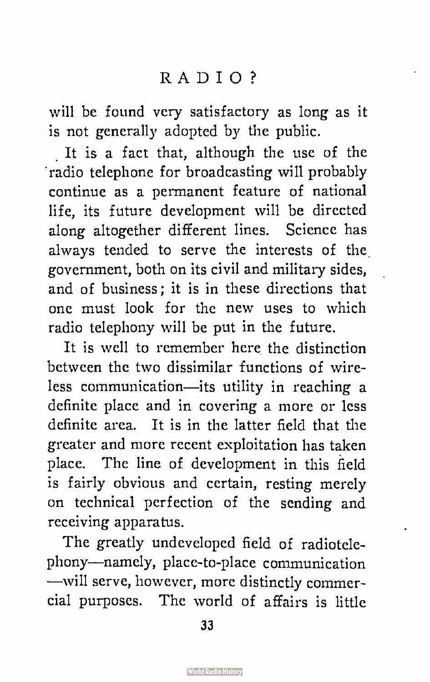will be found very satisfactory as long as it is not generally adopted by the public.

It is a fact that, although the use of the radio telephone for broadcasting will probably continue as a permanent feature of national life, its future development will be directed along altogether different lines. Science has always tended to serve the interests of the government, both on its civil and military sides, and of business; it is in these directions that one must look for the new uses to which radio telephony will be put in the future.

It is well to remember here the distinction between the two dissimilar functions of wireless communication—its utility in reaching a definite place and in covering a more or less definite area. It is in the latter field that the greater and more recent exploitation has taken place. The line of development in this field is fairly obvious and certain, resting merely on technical perfection of the sending and receiving apparatus.

The greatly undeveloped field of radiotelephony—namely, place-to-place communication —will serve, however, more distinctly commercial purposes. The world of affairs is little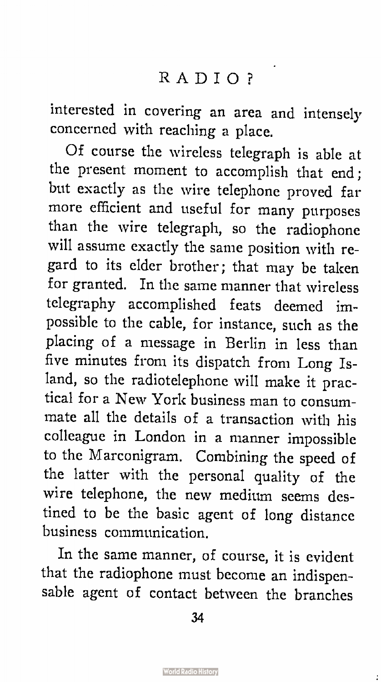interested in covering an area and intensely concerned with reaching a place.

Of course the wireless telegraph is able at the present moment to accomplish that end; but exactly as the wire telephone proved far more efficient and useful for many purposes than the wire telegraph, so the radiophone will assume exactly the same position with regard to its elder brother; that may be taken for granted. In the same manner that wireless telegraphy accomplished feats deemed impossible to the cable, for instance, such as the placing of a message in Berlin in less than five minutes from its dispatch from Long Island, so the radiotelephone will make it practical for a New York business man to consummate all the details of a transaction with his colleague in London in a manner impossible to the Marconigram. Combining the speed of the latter with the personal quality of the wire telephone, the new medium seems destined to be the basic agent of long distance business communication.

In the same manner, of course, it is evident that the radiophone must become an indispensable agent of contact between the branches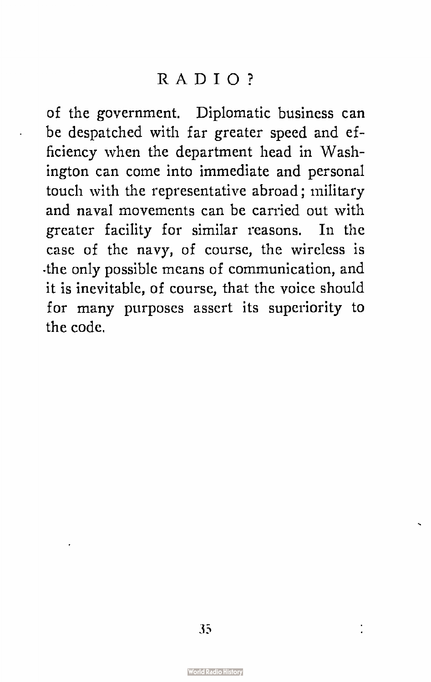of the government. Diplomatic business can be despatched with far greater speed and efficiency when the department head in Washington can come into immediate and personal touch with the representative abroad; military and naval movements can be carried out with greater facility for similar reasons. In the case of the navy, of course, the wireless is .the only possible means of communication, and it is inevitable, of course, that the voice should for many purposes assert its superiority to the code.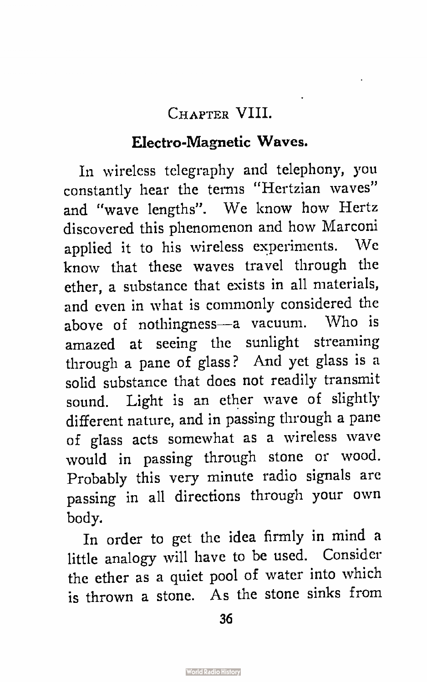#### CHAPTER VIII.

#### Electro-Magnetic Waves.

In wireless telegraphy and telephony, you constantly hear the terms "Hertzian waves" and "wave lengths". We know how Hertz discovered this phenomenon and how Marconi applied it to his wireless experiments. We know that these waves travel through the ether, a substance that exists in all materials, and even in what is commonly considered the above of nothingness—a vacuum. Who is amazed at seeing the sunlight streaming through a pane of glass? And yet glass is a solid substance that does not readily transmit sound. Light is an ether wave of slightly different nature, and in passing through a pane of glass acts somewhat as a wireless wave would in passing through stone or wood. Probably this very minute radio signals are passing in all directions through your own body.

In order to get the idea firmly in mind a little analogy will have to be used. Consider the ether as a quiet pool of water into which is thrown a stone. As the stone sinks from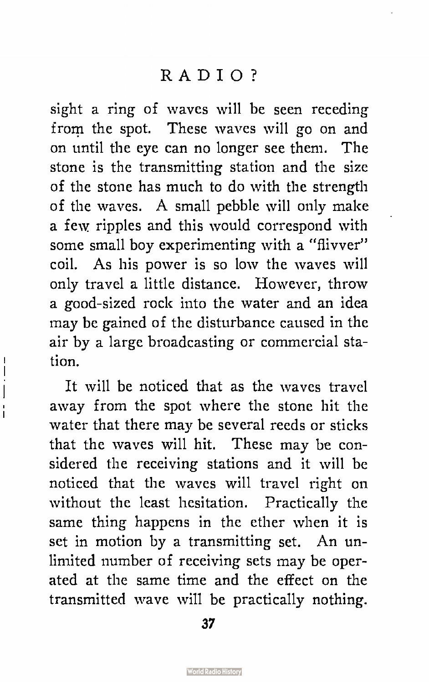sight a ring of waves will be seen receding from the spot. These waves will go on and on until the eye can no longer see them. The stone is the transmitting station and the size of the stone has much to do with the strength of the waves. A small pebble will only make a few ripples and this would correspond with some small boy experimenting with a "flivver" coil. As his power is so low the waves will only travel a little distance. However, throw a good-sized rock into the water and an idea may be gained of the disturbance caused in the air by a large broadcasting or commercial station.

ı  $\overline{\phantom{a}}$  $\overline{\phantom{a}}$ Ï

It will be noticed that as the waves travel away from the spot where the stone hit the water that there may be several reeds or sticks that the waves will hit. These may be considered the receiving stations and it will be noticed that the waves will travel right on without the least hesitation. Practically the same thing happens in the ether when it is set in motion by a transmitting set. An unlimited number of receiving sets may be operated at the same time and the effect on the transmitted wave will be practically nothing.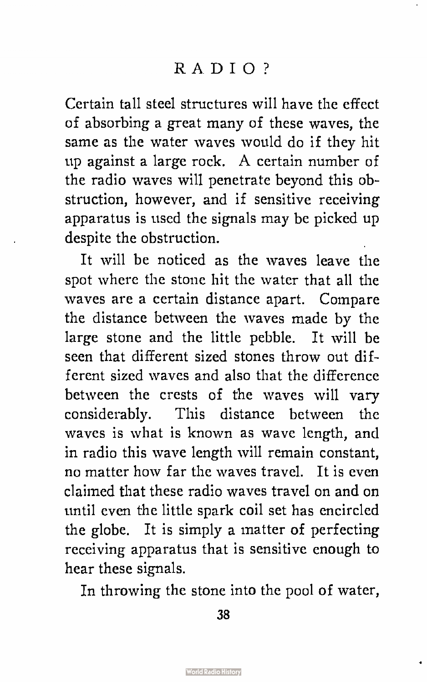Certain tall steel structures will have the effect of absorbing a great many of these waves, the same as the water waves would do if they hit up against a large rock. A certain number of the radio waves will penetrate beyond this obstruction, however, and if sensitive receiving apparatus is used the signals may be picked up despite the obstruction.

It will be noticed as the waves leave the spot where the stone hit the water that all the waves are a certain distance apart. Compare the distance between the waves made by the large stone and the little pebble. It will be seen that different sized stones throw out different sized waves and also that the difference between the crests of the waves will vary considerably. This distance between the waves is what is known as wave length, and in radio this wave length will remain constant, no matter how far the waves travel. It is even claimed that these radio waves travel on and on until even the little spark coil set has encircled the globe. It is simply a matter of perfecting receiving apparatus that is sensitive enough to hear these signals.

In throwing the stone into the pool of water,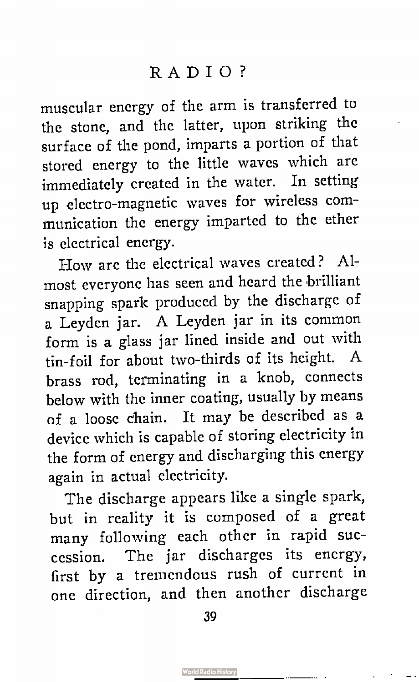muscular energy of the arm is transferred to the stone, and the latter, upon striking the surface of the pond, imparts a portion of that stored energy to the little waves which are immediately created in the water. In setting up electro-magnetic waves for wireless communication the energy imparted to the ether is electrical energy.

How are the electrical waves created? Almost everyone has seen and heard the brilliant snapping spark produced by the discharge of a Leyden jar. A Leyden jar in its common form is a glass jar lined inside and out with tin- foil for about two-thirds of its height. A brass rod, terminating in a knob, connects below with the inner coating, usually by means of a loose chain. It may be described as a device which is capable of storing electricity in the form of energy and discharging this energy again in actual electricity.

The discharge appears like a single spark, but in reality it is composed of a great many following each other in rapid succession. The jar discharges its energy, first by a tremendous rush of current in one direction, and then another discharge

39

. . <u>. . . . . .</u>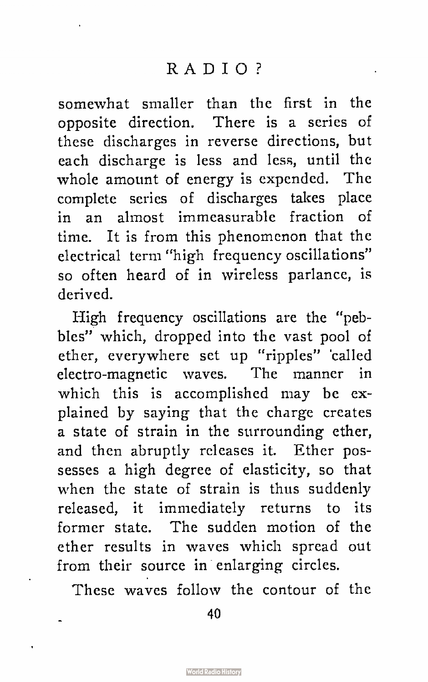somewhat smaller than the first in the opposite direction. There is a series of these discharges in reverse directions, but each discharge is less and less, until the whole amount of energy is expended. The complete series of discharges takes place in an almost immeasurable fraction of time. It is from this phenomenon that the electrical term "high frequency oscillations" so often heard of in wireless parlance, is derived.

High frequency oscillations are the "pebbles" which, dropped into the vast pool of ether, everywhere set up "ripples" 'called electro-magnetic waves. The manner in which this is accomplished may be explained by saying that the charge creates a state of strain in the surrounding ether, and then abruptly releases it. Ether possesses a high degree of elasticity, so that when the state of strain is thus suddenly released, it immediately returns to its former state. The sudden motion of the ether results in waves which spread out from their source in enlarging circles.

These waves follow the contour of the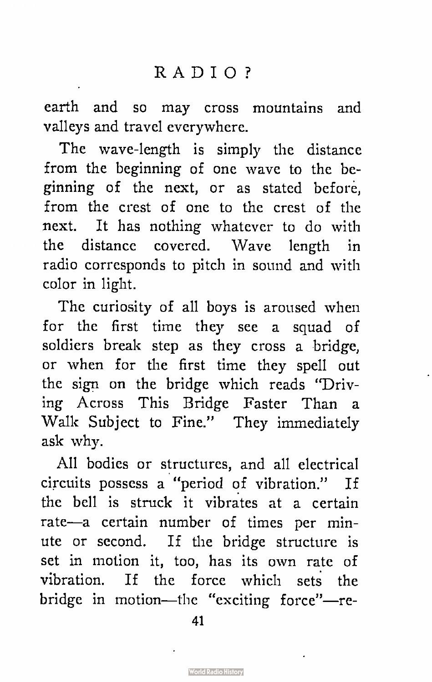earth and so may cross mountains and valleys and travel everywhere.

The wave-length is simply the distance from the beginning of one wave to the beginning of the next, or as stated before, from the crest of one to the crest of the next. It has nothing whatever to do with the distance covered. Wave length in radio corresponds to pitch in sound and with color in light.

The curiosity of all boys is aroused when for the first time they see a squad of soldiers break step as they cross a bridge, or when for the first time they spell out the sign on the bridge which reads "Driving Across This Bridge Faster Than a Walk Subject to Fine." They immediately ask why.

All bodies or structures, and all electrical circuits possess a "period of vibration." If the bell is struck it vibrates at a certain rate—a certain number of times per minute or second. If the bridge structure is set in motion it, too, has its own rate of vibration. If the force which sets the bridge in motion—the "exciting force"—re-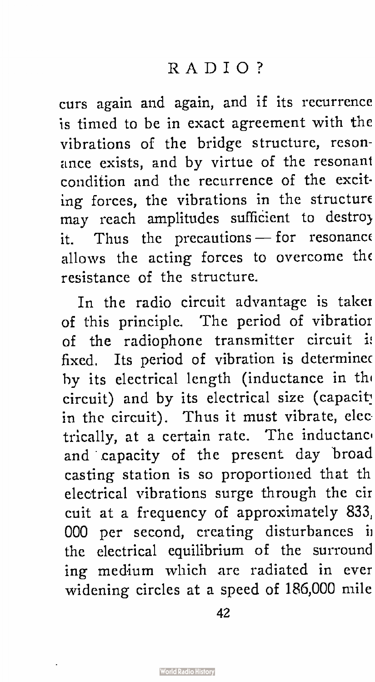curs again and again, and if its recurrence is timed to be in exact agreement with the vibrations of the bridge structure, resonance exists, and by virtue of the resonant condition and the recurrence of the exciting forces, the vibrations in the structure may reach amplitudes sufficient to destroy it. Thus the precautions  $-$  for resonance allows the acting forces to overcome the resistance of the structure.

In the radio circuit advantage is taker of this principle. The period of vibratior of the radiophone transmitter circuit fixed. Its period of vibration is determined by its electrical length (inductance in the circuit) and by its electrical size ( capacit: in the circuit). Thus it must vibrate, elec trically, at a certain rate. The inductance and capacity of the present day broad casting station is so proportioned that th electrical vibrations surge through the cir cuit at a frequency of approximately 833, 000 per second, creating disturbances i: the electrical equilibrium of the surround ing medium which are radiated in ever widening circles at a speed of 186,000 mile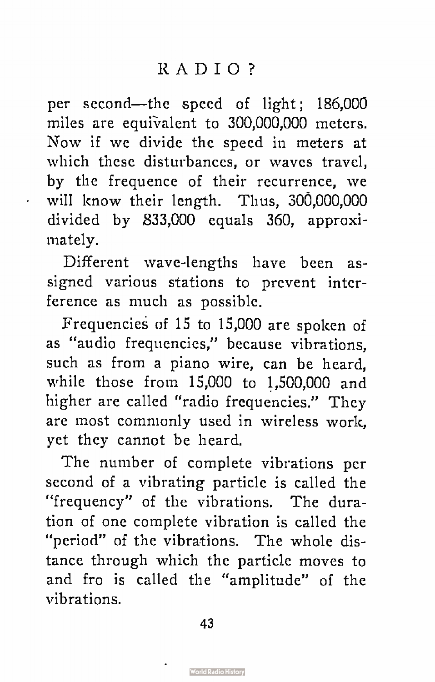per second—the speed of light; 186,000 miles are equivalent to 300,000,000 meters. Now if we divide the speed in meters at which these disturbances, or waves travel, by the frequence of their recurrence, we will know their length. Thus, 300,000,000 divided by 833,000 equals 360, approximately.

Different wave-lengths have been assigned various stations to prevent interference as much as possible.

Frequencies of 15 to 15,000 are spoken of as "audio frequencies," because vibrations, such as from a piano wire, can be heard, while those from 15,000 to 1,500,000 and higher are called "radio frequencies." They are most commonly used in wireless work, yet they cannot be heard.

The number of complete vibrations per second of a vibrating particle is called the "frequency" of the vibrations. The duration of one complete vibration is called the "period" of the vibrations. The whole distance through which the particle moves to and fro is called the "amplitude" of the vibrations.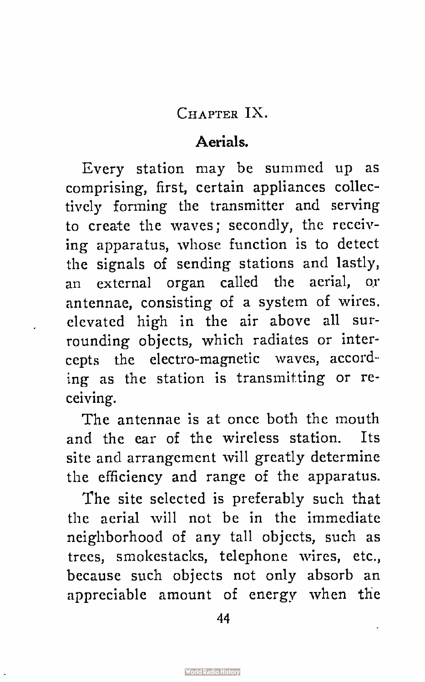CHAPTER IX.

#### Aerials.

Every station may be summed up as comprising, first, certain appliances collectively forming the transmitter and serving to create the waves; secondly, the receiving apparatus, whose function is to detect the signals of sending stations and lastly, an external organ called the aerial, or antennae, consisting of a system of wires, elevated high in the air above all surrounding objects, which radiates or intercepts the electro-magnetic waves, according as the station is transmitting or receiving.

The antennae is at once both the mouth and the ear of the wireless station. Its site and arrangement will greatly determine the efficiency and range of the apparatus.

The site selected is preferably such that the aerial will not be in the immediate neighborhood of any tall objects, such as trees, smokestacks, telephone wires, etc., because such objects not only absorb an appreciable amount of energy when the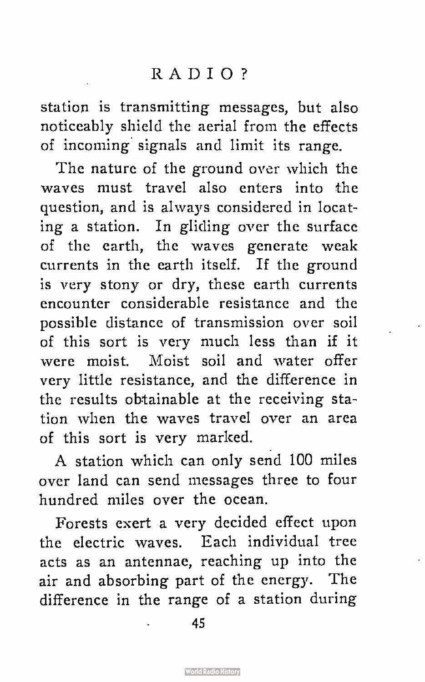station is transmitting messages, but also noticeably shield the aerial from the effects of incoming signals and limit its range.

The nature of the ground over which the waves must travel also enters into the question, and is always considered in locating a station. In gliding over the surface of the earth, the waves generate weak currents in the earth itself. If the ground is very stony or dry, these earth currents encounter considerable resistance and the possible distance of transmission over soil of this sort is very much less than if it were moist. Moist soil and water offer very little resistance, and the difference in the results obtainable at the receiving station when the waves travel over an area of this sort is very marked.

A station which can only send 100 miles over land can send messages three to four hundred miles over the ocean.

Forests exert a very decided effect upon the electric waves. Each individual tree acts as an antennae, reaching up into the air and absorbing part of the energy. The difference in the range of a station during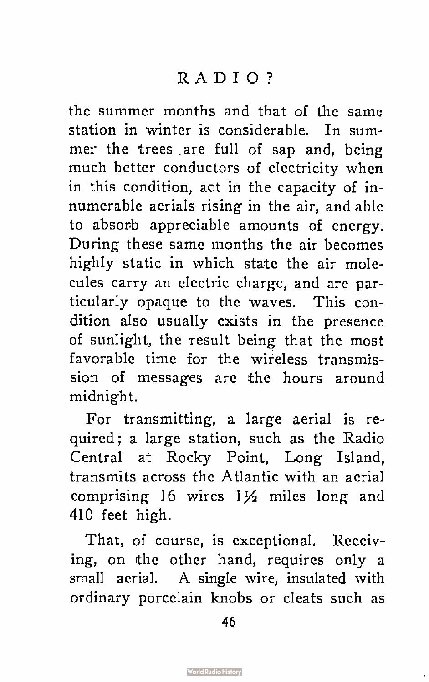the summer months and that of the same station in winter is considerable. In summer the trees are full of sap and, being much better conductors of electricity when in this condition, act in the capacity of innumerable aerials rising in the air, and able to absorb appreciable amounts of energy. During these same months the air becomes highly static in which state the air molecules carry an electric charge, and are particularly opaque to the waves. This condition also usually exists in the presence of sunlight, the result being that the most favorable time for the wireless transmission of messages are the hours around midnight.

For transmitting, a large aerial is required; a large station, such as the Radio Central at Rocky Point, Long Island, transmits across the Atlantic with an aerial comprising 16 wires  $1\frac{1}{2}$  miles long and 410 feet high.

That, of course, is exceptional. Receiving, on the other hand, requires only a small aerial. A single wire, insulated with ordinary porcelain knobs or cleats such as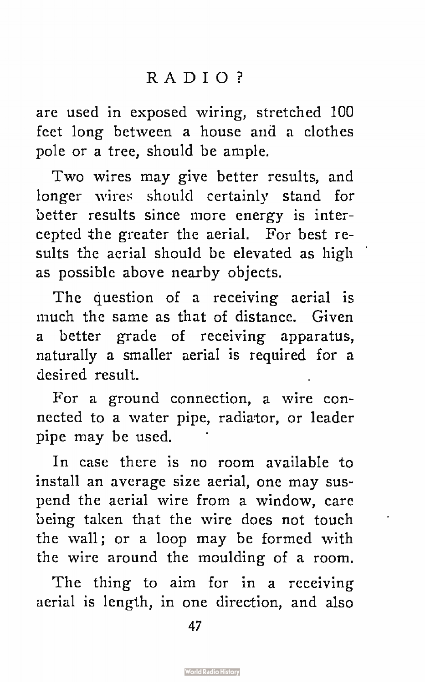are used in exposed wiring, stretched 100 feet long between a house and a clothes pole or a tree, should be ample.

Two wires may give better results, and longer wires should certainly stand for better results since more energy is intercepted the greater the aerial. For best results the aerial should be elevated as high as possible above nearby objects.

The question of a receiving aerial is much the same as that of distance. Given a better grade of receiving apparatus, naturally a smaller aerial is required for a desired result.

For a ground connection, a wire connected to a water pipe, radiator, or leader pipe may be used.

In case there is no room available to install an average size aerial, one may suspend the aerial wire from a window, care being taken that the wire does not touch the wall; or a loop may be formed with the wire around the moulding of a room.

The thing to aim for in a receiving aerial is length, in one direction, and also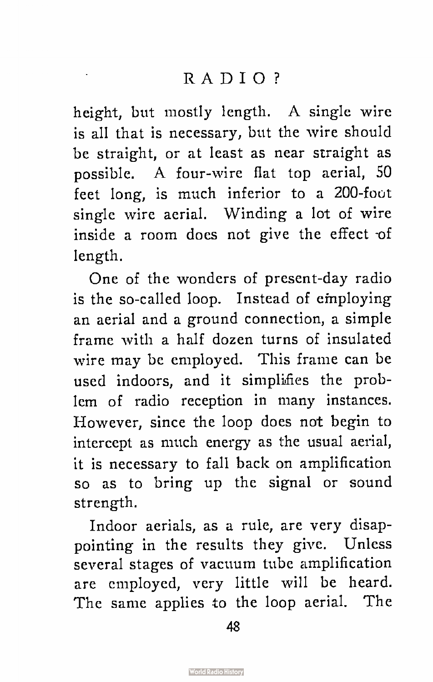height, but mostly length. A single wire is all that is necessary, but the wire should be straight, or at least as near straight as possible. A four-wire flat top aerial, 50 feet long, is much inferior to a 200-foot single wire aerial. Winding a lot of wire inside a room does not give the effect -of length.

One of the wonders of present-day radio is the so-called loop. Instead of employing an aerial and a ground connection, a simple frame with a half dozen turns of insulated wire may be employed. This frame can be used indoors, and it simplifies the problem of radio reception in many instances. However, since the loop does not begin to intercept as much energy as the usual aerial, it is necessary to fall back on amplification so as to bring up the signal or sound strength.

Indoor aerials, as a rule, are very disappointing in the results they give. Unless several stages of vacuum tube amplification are employed, very little will be heard. The same applies to the loop aerial. The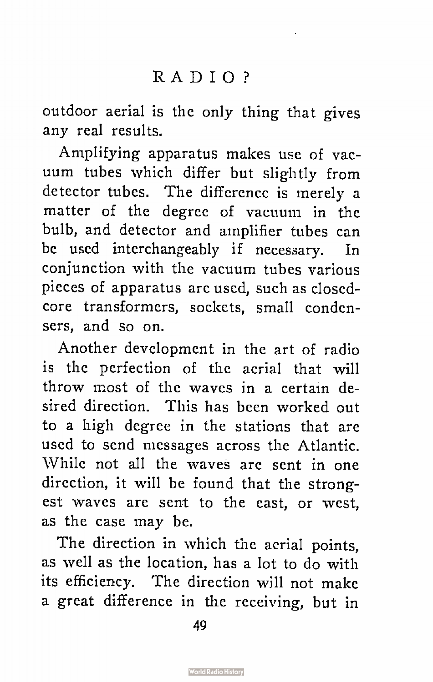outdoor aerial is the only thing that gives any real results.

Amplifying apparatus makes use of vacuum tubes which differ but slightly from detector tubes. The difference is merely a matter of the degree of vacuum in the bulb, and detector and amplifier tubes can be used interchangeably if necessary. In conjunction with the vacuum tubes various pieces of apparatus are used, such as closedcore transformers, sockets, small condensers, and so on.

Another development in the art of radio is the perfection of the aerial that will throw most of the waves in a certain desired direction. This has been worked out to a high degree in the stations that are used to send messages across the Atlantic. While not all the waves are sent in one direction, it will be found that the strongest waves are sent to the east, or west, as the case may be.

The direction in which the aerial points, as well as the location, has a lot to do with its efficiency. The direction will not make a great difference in the receiving, but in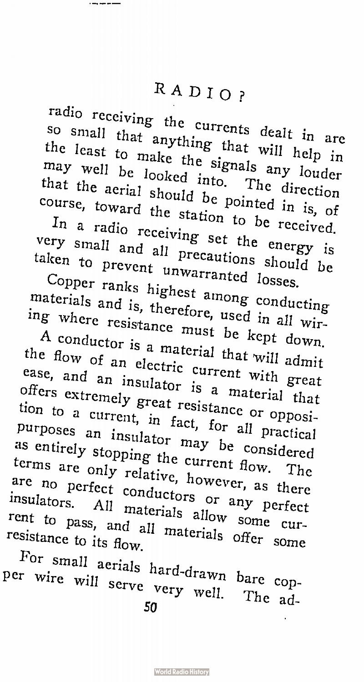radio receiving the currents dealt in are so small that anything that will help in the least to make the signals any louder may well be looked into. The direction  $t_{\text{outres}}$  the annual be pointed in  $t_{\text{out}}$ 

 $\tau$  =  $\mu$  station to be received. course, toward the station to be received.<br>In a radio receiving set the energy is  $v_{\text{atom}}$  small precautions shown be  $v_{\text{obs}}$ 

taken to prevent unwarranted losses. taken to prevent unwarranted losses.<br>Copper ranks highest among conducting materials and is, therefore, used in all wir-

ing where resistance must be kept down. A conductor is a material that will admit the flow of an electric current with great ease, and an insulator is a material that offers extremely great resistance or opposition to a current, in fact, for all practical purposes an insulator may be considered as entirely stopping the current flow. The terms are only relative, however, as there are no perfect conductors or any perfect insulators. All materials allow some curresistance to its  $f_{\text{low}}$  materials offer some

For small aerials hard-drawn bare cop- $\frac{1}{2}$  scrve very well.  $\frac{1}{2}$ JU.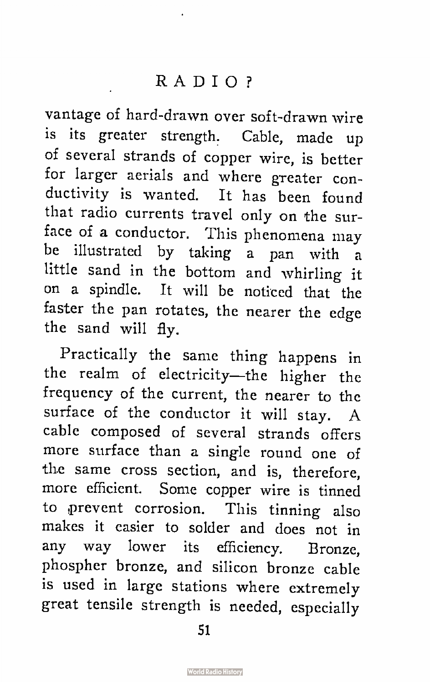vantage of hard-drawn over soft-drawn wire is its greater strength. Cable, made up of several strands of copper wire, is better for larger aerials and where greater conductivity is wanted. It has been found that radio currents travel only on the surface of a conductor. This phenomena may be illustrated by taking a pan with a little sand in the bottom and whirling it on a spindle. It will be noticed that the faster the pan rotates, the nearer the edge the sand will fly.

Practically the same thing happens in the realm of electricity—the higher the frequency of the current, the nearer to the surface of the conductor it will stay. A cable composed of several strands offers more surface than a single round one of the same cross section, and is, therefore, more efficient. Some copper wire is tinned to prevent corrosion. This tinning also makes it easier to solder and does not in any way lower its efficiency. Bronze, phospher bronze, and silicon bronze cable is used in large stations where extremely great tensile strength is needed, especially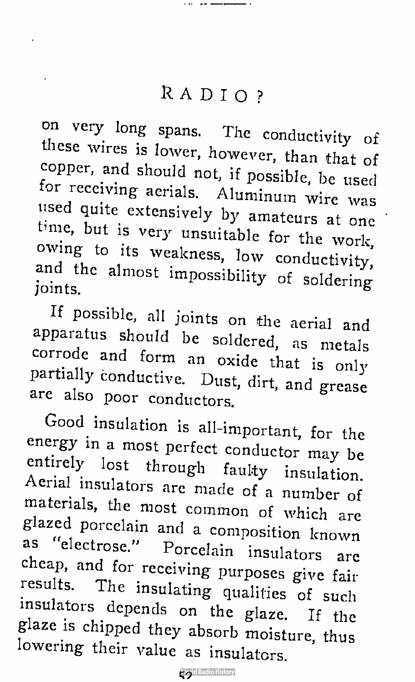on very long spans. The conductivity of these wires is lower, however, than that of copper, and should not, if possible, be used for receiving aerials. Aluminum wire was used quite extensively by amateurs at one time, but is very unsuitable for the work, owing to its weakness, low conductivity, and the almost impossibility of soldering joints.

If possible, all joints on the aerial and apparatus should be soldered, as metals corrode and form an oxide that is only partially conductive. Dust, dirt, and grease are also poor conductors.

Good insulation is all -important, for the energy in a most perfect conductor may be entirely lost through faulty insulation. Aerial insulators are made of a number of materials, the most common of which are glazed porcelain and a composition known as "electrose." Porcelain insulators are cheap, and for receiving purposes give fair results. The insulating qualities of such insulators depends on the glaze. If the glaze is chipped they absorb moisture, thus lowering their value as insulators.

**Wegld Radio History**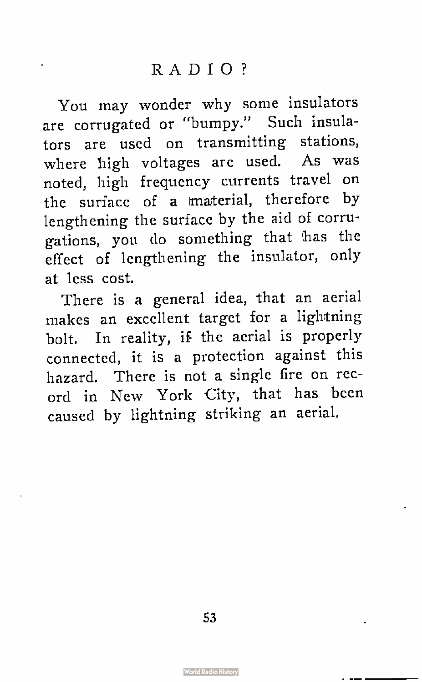You may wonder why some insulators are corrugated or "bumpy." Such insulators are used on transmitting stations, where high voltages are used. As was noted, high frequency currents travel on the surface of a material, therefore by lengthening the surface by the aid of corrugations, you do something that has the effect of lengthening the insulator, only at less cost.

There is a general idea, that an aerial makes an excellent target for a lightning bolt. In reality, if the aerial is properly connected, it is a protection against this hazard. There is not a single fire on record in New York City, that has been caused by lightning striking an aerial.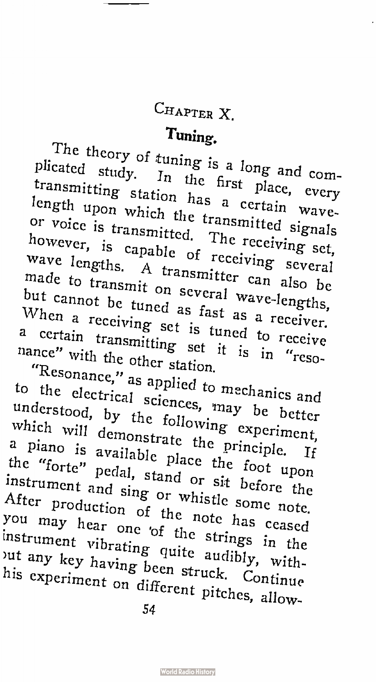# CHAPTER X.

#### $\overline{\phantom{a}}$  and  $\overline{\phantom{a}}$

 $\frac{1}{\sqrt{1 + \frac{1}{\sqrt{1 + \frac{1}{\sqrt{1 + \frac{1}{\sqrt{1 + \frac{1}{\sqrt{1 + \frac{1}{\sqrt{1 + \frac{1}{\sqrt{1 + \frac{1}{\sqrt{1 + \frac{1}{\sqrt{1 + \frac{1}{\sqrt{1 + \frac{1}{\sqrt{1 + \frac{1}{\sqrt{1 + \frac{1}{\sqrt{1 + \frac{1}{\sqrt{1 + \frac{1}{\sqrt{1 + \frac{1}{\sqrt{1 + \frac{1}{\sqrt{1 + \frac{1}{\sqrt{1 + \frac{1}{\sqrt{1 + \frac{1}{\sqrt{1 + \frac{1}{\sqrt{1 + \frac{1}{\sqrt{1 +$ plicated study. In the first place, every transmitting station has a certain wavelength upon which the transmitted signals  $h_{\text{OW2V}}$   $\cdots$   $\cdots$   $\cdots$   $\cdots$   $\cdots$   $\cdots$   $\cdots$   $\cdots$   $\cdots$   $\cdots$   $\cdots$   $\cdots$   $\cdots$   $\cdots$   $\cdots$   $\cdots$   $\cdots$   $\cdots$   $\cdots$   $\cdots$   $\cdots$   $\cdots$   $\cdots$   $\cdots$   $\cdots$   $\cdots$   $\cdots$   $\cdots$   $\cdots$   $\cdots$   $\cdots$   $\cdots$   $\cdots$   $\cdots$   $\cdots$  $w_{2v}$ , is capable of receiving several however, is capable of receiving several<br>wave lengths. A transmitter can also be made to transmit on several wave-lengths, but cannot be tuned as fast as a receiver. When a receiving set is tuned to receive  $r_{\rm{an}}$  certain transmitting set it is in  $r_{\rm{on}}$  $n =$  with the other station.

"Resonance," as applied to mechanics and  $t_{\text{total}}$  is the sciences,  $t_{\text{max}}$  better between  $t_{\text{total}}$ which  $\mu$   $\rightarrow$  the following  $\mu$   $\rightarrow$ understood, by the following experiment, which will demonstrate the principle. If a piano is available place the foot upon the "forte" pedal, stand or sit before the  $\Delta f_{\text{tan}}$  instrument and sing or which  $\Delta f_{\text{tan}}$  $\frac{M(t)}{t}$  production of the note  $\frac{1}{t}$ After production of the note has ceased<br>you may hear one of the strings in the  $\frac{1}{2}$  instrument vibration  $\frac{1}{2}$  and  $\frac{1}{2}$  $\lim_{n \to \infty}$   $\lim_{n \to \infty}$  been struck.  $\alpha$ out any key having been struck. Continue<br>his experiment on different pitches, allow-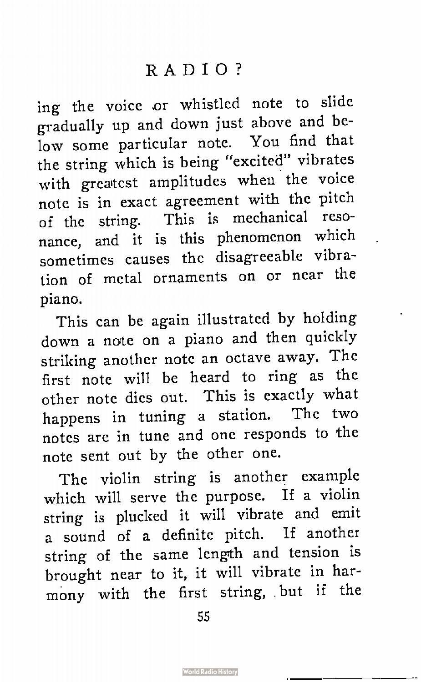ing the voice or whistled note to slide gradually up and down just above and below some particular note. You find that the string which is being "excited" vibrates with greatest amplitudes when the voice note is in exact agreement with the pitch of the string. This is mechanical resonance, and it is this phenomenon which sometimes causes the disagreeable vibration of metal ornaments on or near the piano.

This can be again illustrated by holding down a note on a piano and then quickly striking another note an octave away. The first note will be heard to ring as the other note dies out. This is exactly what happens in tuning a station. The two notes are in tune and one responds to the note sent out by the other one.

The violin string is another example which will serve the purpose. If a violin string is plucked it will vibrate and emit a sound of a definite pitch. If another string of the same length and tension is brought near to it, it will vibrate in harmony with the first string, but if the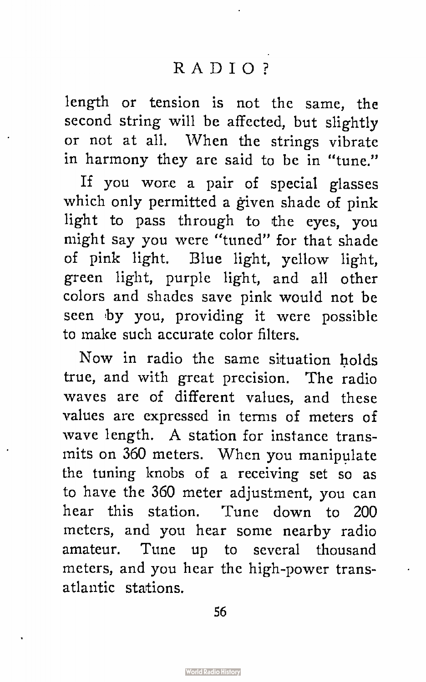length or tension is not the same, the second string will be affected, but slightly or not at all. When the strings vibrate in harmony they are said to be in "tune."

If you wore a pair of special glasses which only permitted a given shade of pink light to pass through to the eyes, you might say you were "tuned" for that shade of pink light. Blue light, yellow light, green light, purple light, and all other colors and shades save pink would not be seen by you, providing it were possible to make such accurate color filters.

Now in radio the same situation bolds true, and with great precision. The radio waves are of different values, and these values are expressed in terms of meters of wave length. A station for instance transmits on 360 meters. When you manipulate the tuning knobs of a receiving set so as to have the 360 meter adjustment, you can hear this station. Tune down to 200 meters, and you hear some nearby radio amateur. Tune up to several thousand meters, and you hear the high-power transatlantic stations.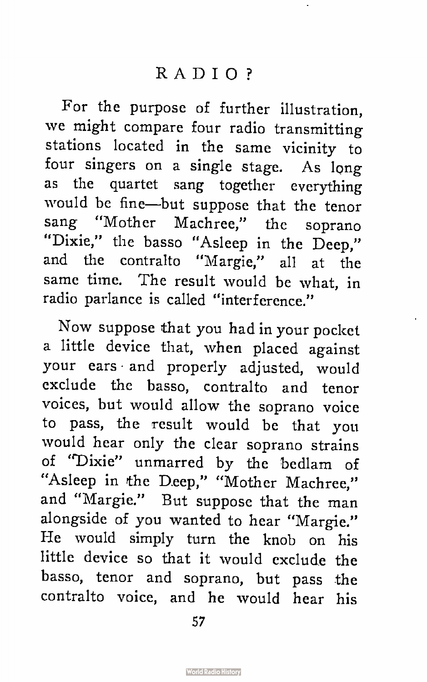For the purpose of further illustration, we might compare four radio transmitting stations located in the same vicinity to four singers on a single stage. As long as the quartet sang together everything would be fine—but suppose that the tenor sang "Mother Machree," the soprano "Dixie," the basso "Asleep in the Deep," and the contralto "Margie," all at the same time. The result would be what, in radio parlance is called "interference."

Now suppose that you had in your pocket a little device that, when placed against your ears and properly adjusted, would exclude the basso, contralto and tenor voices, but would allow the soprano voice to pass, the result would be that you would hear only the clear soprano strains of "Dixie" unmarred by the bedlam of "Asleep in the Deep," "Mother Machree," and "Margie." But suppose that the man alongside of you wanted to hear "Margie." He would simply turn the knob on his little device so that it would exclude the basso, tenor and soprano, but pass the contralto voice, and he would hear his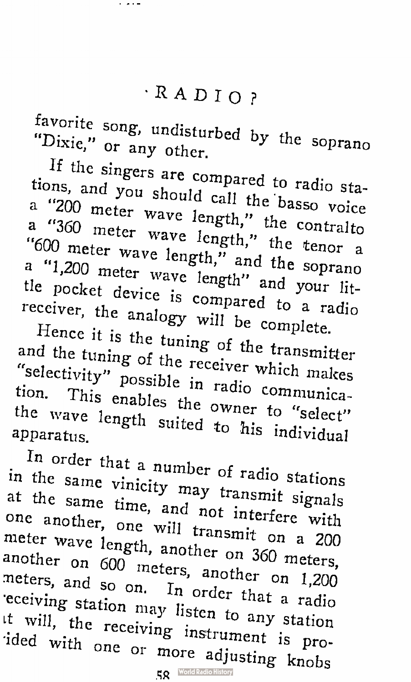$f(x) = \frac{1}{2} \pi x^2$  undisturbed by the solution  $\sim$   $\mathbf{m}$ , or any other.

If the singers are compared to radio stations, and you should call the basso voice

a "200 meter wave length," the contralto a "360 meter wave length," the tenor a "600 meter wave length," and the soprano a "1,200 meter wave length" and your little pocket device is compared to a radio receiver, the analogy will be complete.

Hence it is the tuning of the transmitter and the tuning of the receiver which makes "selectivity" possible in radio communication. This enables the owner to "select" the wave length suited to his individual apparatus.

In order that a number of radio stations in the same vinicity may transmit signals at the same time, and not interfere with one another, one will transmit on a 200 meter wave length, another on 360 meters, another on 600 meters, another on 1,200 .neters, and so on. In order that a radio •eceiving station may listen to any station it will, the receiving instrument is proided with one or more adjusting knobs

**RO** World Radio History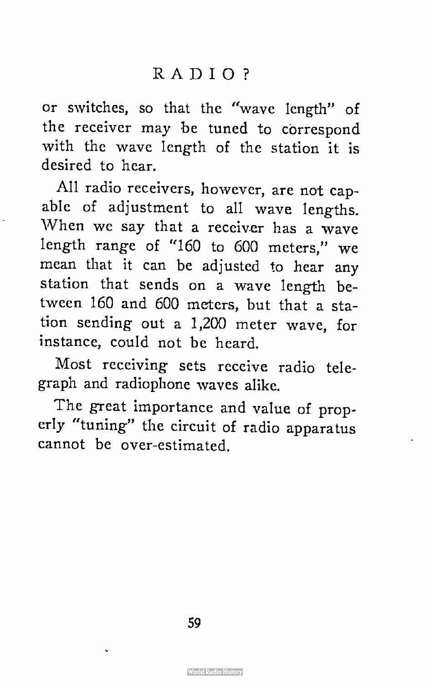or switches, so that the "wave length" of the receiver may be tuned to correspond with the wave length of the station it is desired to hear.

All radio receivers, however, are not capable of adjustment to all wave lengths. When we say that a receiver has a wave length range of "160 to 600 meters," we mean that it can be adjusted to hear any station that sends on a wave length between 160 and 600 meters, but that a station sending out a 1,200 meter wave, for instance, could not be heard.

Most receiving sets receive radio telegraph and radiophone waves alike.

The great importance and value of properly "tuning" the circuit of radio apparatus cannot be over-estimated.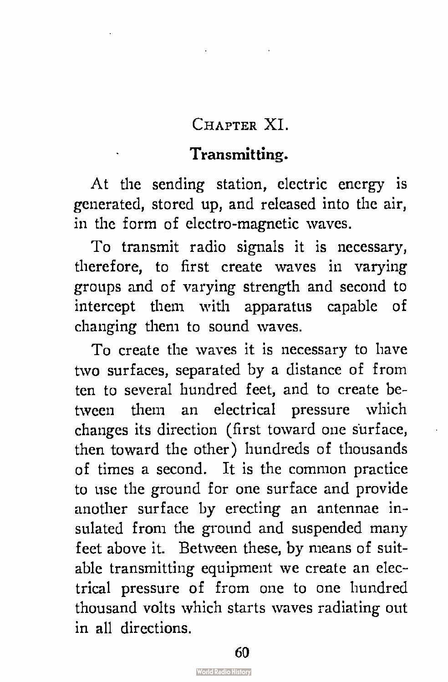#### CHAPTER XI

### Transmitting.

At the sending station, electric energy is generated, stored up, and released into the air, in the form of electro-magnetic waves.

To transmit radio signals it is necessary, therefore, to first create waves in varying groups and of varying strength and second to intercept them with apparatus capable of changing them to sound waves.

To create the waves it is necessary to have two surfaces, separated by a distance of from ten to several hundred feet, and to create between them an electrical pressure which changes its direction ( first toward one surface, then toward the other) hundreds of thousands of times a second. It is the common practice to use the ground for one surface and provide another surface by erecting an antennae insulated from the ground and suspended many feet above it. Between these, by means of suitable transmitting equipment we create an electrical pressure of from one to one hundred thousand volts which starts waves radiating out in all directions.

**World Radio History**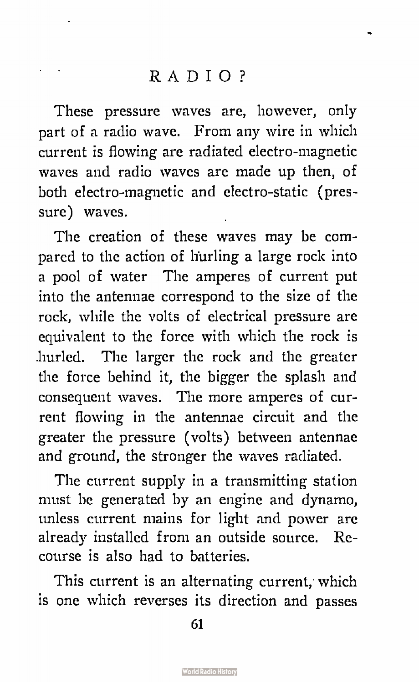These pressure waves are, however, only part of a radio wave. From any wire in which current is flowing are radiated electro-magnetic waves and radio waves are made up then, of both electro-magnetic and electro-static ( pressure) waves.

The creation of these waves may be compared to the action of hurling a large rock into a pool of water The amperes of current put into the antennae correspond to the size of the rock, while the volts of electrical pressure are equivalent to the force with which the rock is hurled. The larger the rock and the greater the force behind it, the bigger the splash and consequent waves. The more amperes of current flowing in the antennae circuit and the greater the pressure ( volts) between antennae and ground, the stronger the waves radiated.

The current supply in a transmitting station must be generated by an engine and dynamo, unless current mains for light and power are already installed from an outside source. Recourse is also had to batteries.

This current is an alternating current, which is one which reverses its direction and passes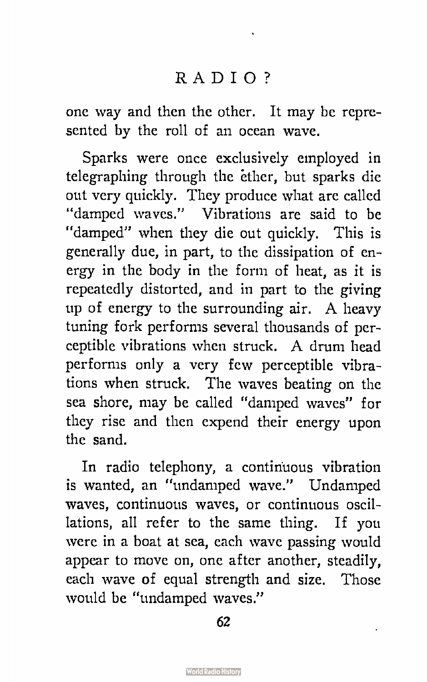one way and then the other. It may be represented by the roll of an ocean wave.

Sparks were once exclusively employed in telegraphing through the éther, but sparks die out very quickly. They produce what are called "damped waves." Vibrations are said to be "damped" when they die out quickly. This is generally due, in part, to the dissipation of energy in the body in the form of heat, as it is repeatedly distorted, and in part to the giving up of energy to the surrounding air. A heavy tuning fork performs several thousands of perceptible vibrations when struck. A drum head performs only a very few perceptible vibrations when struck. The waves beating on the sea shore, may be called "damped waves" for they rise and then expend their energy upon the sand.

In radio telephony, a continuous vibration is wanted, an "undamped wave." Undamped waves, continuous waves, or continuous oscillations, all refer to the same thing. If you were in a boat at sea, each wave passing would appear to move on, one after another, steadily, each wave of equal strength and size. Those would be "undamped waves."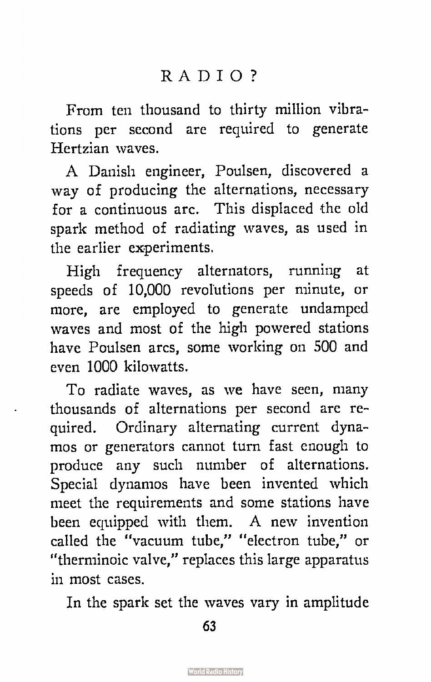From ten thousand to thirty million vibrations per second are required to generate Hertzian waves.

A Danish engineer, Poulsen, discovered a way of producing the alternations, necessary for a continuous arc. This displaced the old spark method of radiating waves, as used in the earlier experiments.

High frequency alternators, running at speeds of 10,000 revolutions per minute, or more, are employed to generate undamped waves and most of the high powered stations have Poulsen arcs, some working on 500 and even 1000 kilowatts.

To radiate waves, as we have seen, many thousands of alternations per second are required. Ordinary alternating current dynamos or generators cannot turn fast enough to produce any such number of alternations. Special dynamos have been invented which meet the requirements and some stations have been equipped with them. A new invention called the "vacuum tube," "electron tube," or "therminoic valve," replaces this large apparatus in most cases.

In the spark set the waves vary in amplitude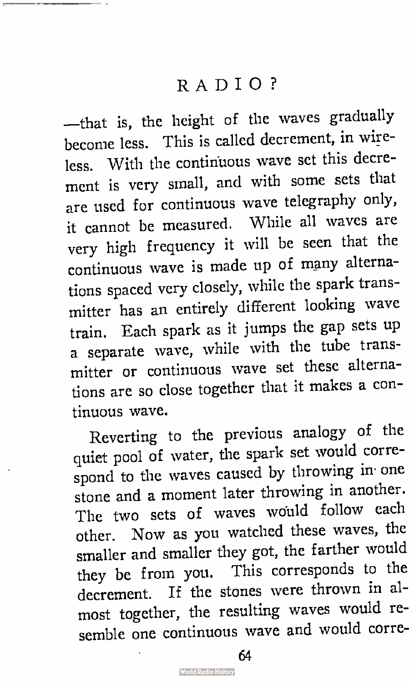—that is, the height of the waves gradually become less. This is called decrement, in wireless. With the continuous wave set this decrement is very small, and with some sets that are used for continuous wave telegraphy only, it cannot be measured. While all waves are very high frequency it will be seen that the continuous wave is made up of many alternations spaced very closely, while the spark transmitter has an entirely different looking wave train. Each spark as it jumps the gap sets up a separate wave, while with the tube transmitter or continuous wave set these alternations are so close together that it makes a continuous wave.

Reverting to the previous analogy of the quiet pool of water, the spark set would correspond to the waves caused by throwing in. one stone and a moment later throwing in another. The two sets of waves would follow each other. Now as you watched these waves, the smaller and smaller they got, the farther would they be from you. This corresponds to the decrement. If the stones were thrown in almost together, the resulting waves would resemble one continuous wave and would corre-

64

**World Radio History**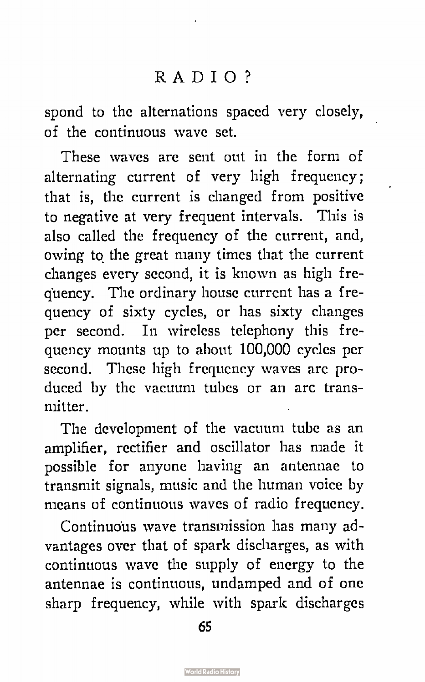spond to the alternations spaced very closely, of the continuous wave set.

These waves are sent out in the form of alternating current of very high frequency; that is, the current is changed from positive to negative at very frequent intervals. This is also called the frequency of the current, and, owing to the great many times that the current changes every second, it is known as high frequency. The ordinary house current has a frequency of sixty cycles, or has sixty changes per second. In wireless telephony this frequency mounts up to about 100,000 cycles per second. These high frequency waves are produced by the vacuum tubes or an arc transmitter.

The development of the vacuum tube as an amplifier, rectifier and oscillator has made it possible for anyone having an antennae to transmit signals, music and the human voice by means of continuous waves of radio frequency.

Continuous wave transmission has many advantages over that of spark discharges, as with continuous wave the supply of energy to the antennae is continuous, undamped and of one sharp frequency, while with spark discharges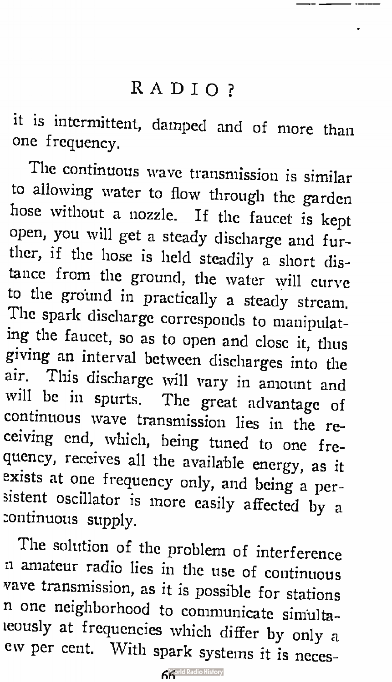it is intermittent, damped and of more than one frequency.

The continuous wave transmission is similar to allowing water to flow through the garden hose without a nozzle. If the faucet is kept open, you will get a steady discharge and further, if the hose is held steadily a short distance from the ground, the water will curve to the ground in practically a steady stream. The spark discharge corresponds to manipulating the faucet, so as to open and close it, thus giving an interval between discharges into the air. This discharge will vary in amount and will be in spurts. The great advantage of continuous wave transmission lies in the receiving end, which, being tuned to one frequency, receives all the available energy, as it exists at one frequency only, and being a persistent oscillator is more easily affected by a zontinuous supply.

The solution of the problem of interference n amateur radio lies in the use of continuous vave transmission, as it is possible for stations n one neighborhood to communicate siniultaleously at frequencies which differ by only a ew per cent. With spark systems it is neces-

**Korld Radio History**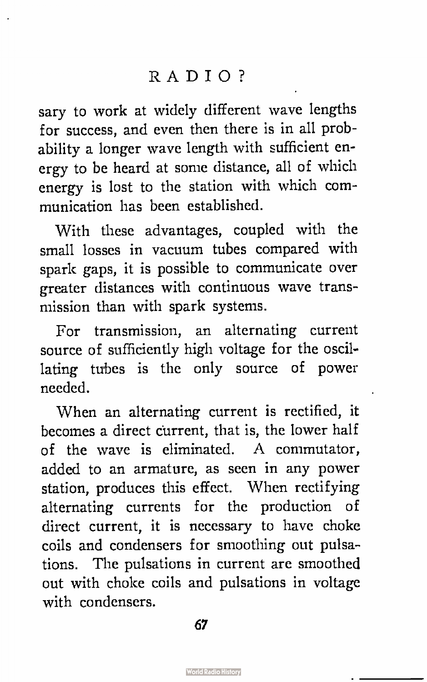sary to work at widely different wave lengths for success, and even then there is in all probability a longer wave length with sufficient energy to be heard at some distance, all of which energy is lost to the station with which communication has been established.

With these advantages, coupled with the small losses in vacuum tubes compared with spark gaps, it is possible to communicate over greater distances with continuous wave transmission than with spark systems.

For transmission, an alternating current source of sufficiently high voltage for the oscillating tubes is the only source of power needed.

When an alternating current is rectified, it becomes a direct current, that is, the lower half of the wave is eliminated. A commutator, added to an armature, as seen in any power station, produces this effect. When rectifying alternating currents for the production of direct current, it is necessary to have choke coils and condensers for smoothing out pulsations. The pulsations in current are smoothed out with choke coils and pulsations in voltage with condensers.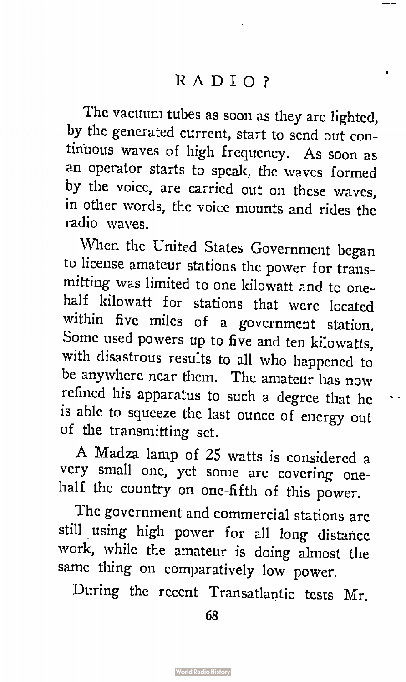The vacuum tubes as soon as they are lighted, by the generated current, start to send out continuous waves of high frequency. As soon as an operator starts to speak, the waves formed by the voice, are carried out on these waves, in other words, the voice mounts and rides the radio waves.

'When the United States Government began to license amateur stations the power for transmitting was limited to one kilowatt and to onehalf kilowatt for stations that were located within five miles of a government station. Some used powers up to five and ten kilowatts, with disastrous results to all who happened to be anywhere near them. The amateur has now refined his apparatus to such a degree that he is able to squeeze the last ounce of energy out of the transmitting set.

A Madza lamp of 25 watts is considered a very small one, yet some are covering onehalf the country on one-fifth of this power.

The government and commercial stations are still using high power for all long distance work, while the amateur is doing almost the same thing on comparatively low power.

During the recent Transatlantic tests Mr.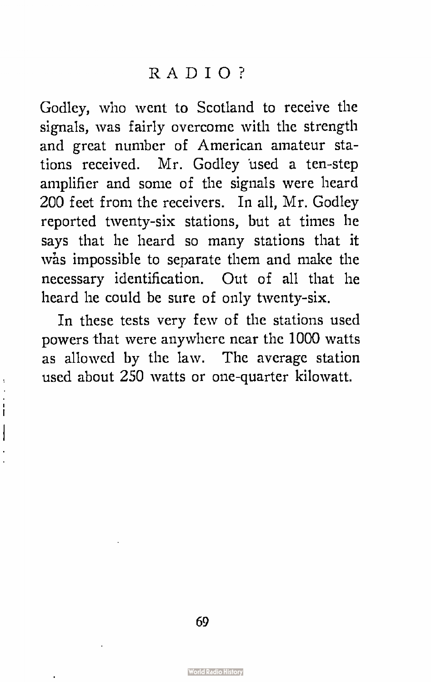Godley, who went to Scotland to receive the signals, was fairly overcome with the strength and great number of American amateur stations received. Mr. Godley used a ten-step amplifier and some of the signals were heard 200 feet from the receivers. In all, Mr. Godley reported twenty-six stations, but at times he says that he heard so many stations that it wàs impossible to separate them and make the necessary identification. Out of all that he heard he could be sure of only twenty-six.

In these tests very few of the stations used powers that were anywhere near the 1000 watts as allowed by the law. The average station used about 250 watts or one-quarter kilowatt.

Ì I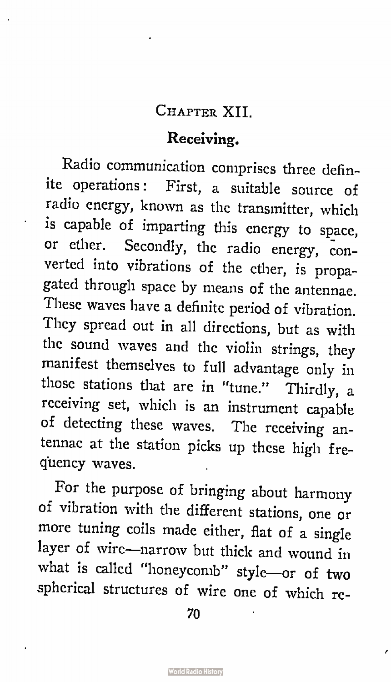#### CHAPTER XII.

#### Receiving.

Radio communication comprises three definite operations: First, a suitable source of radio energy, known as the transmitter, which is capable of imparting this energy to space, or ether. Secondly, the radio energy, converted into vibrations of the ether, is propagated through space by means of the antennae. These waves have a definite period of vibration. They spread out in all directions, but as with the sound waves and the violin strings, they manifest themselves to full advantage only in those stations that are in "tune." Thirdly, a receiving set, which is an instrument capable of detecting these waves. The receiving antennae at the station picks up these high frequency waves.

For the purpose of bringing about harmony of vibration with the different stations, one or more tuning coils made either, flat of a single layer of wire—narrow but thick and wound in what is called "honeycomb" style—or of two spherical structures of wire one of which re-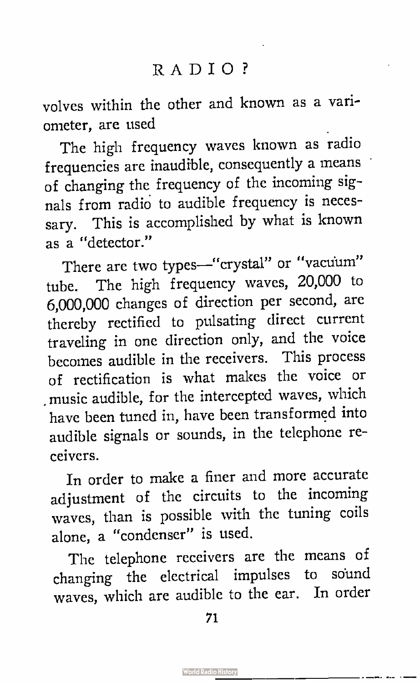volves within the other and known as a variometer, are used

The high frequency waves known as radio frequencies are inaudible, consequently a means of changing the frequency of the incoming signals from radio to audible frequency is necessary. This is accomplished by what is known as a "detector."

There are two types—"crystal" or "vacuum" tube. The high frequency waves, 20,000 to 6,000,000 changes of direction per second, are thereby rectified to pulsating direct current traveling in one direction only, and the voice becomes audible in the receivers. This process of rectification is what makes the voice or . music audible, for the intercepted waves, which have been tuned in, have been transformed into audible signals or sounds, in the telephone receivers.

In order to make a finer and more accurate adjustment of the circuits to the incoming waves, than is possible with the tuning coils alone, a "condenser" is used.

The telephone receivers are the means of changing the electrical impulses to sound waves, which are audible to the ear. In order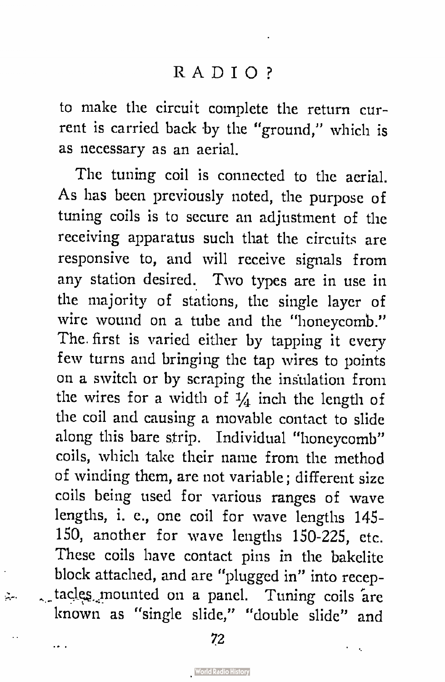to make the circuit complete the return current is carried back by the "ground," which is as necessary as an aerial.

The tuning coil is connected to the aerial. As has been previously noted, the purpose of tuning coils is to secure an adjustment of the receiving apparatus such that the circuits are responsive to, and will receive signals from any station desired. Two types are in use in the majority of stations, the single layer of wire wound on a tube and the "honeycomb." The first is varied either by tapping it every few turns and bringing the tap wires to points on a switch or by scraping the insulation from the wires for a width of  $\frac{1}{4}$  inch the length of the coil and causing a movable contact to slide along this bare strip. Individual "honeycomb" coils, which take their name from the method of winding them, are not variable; different size coils being used for various ranges of wave lengths, i. e., one coil for wave lengths 145- 150, another for wave lengths 150-225, etc. These coils have contact pins in the bakelite block attached, and are "plugged in" into receptadee..,mounted on a panel. Tuning coils 'are known as "single slide," "double slide" and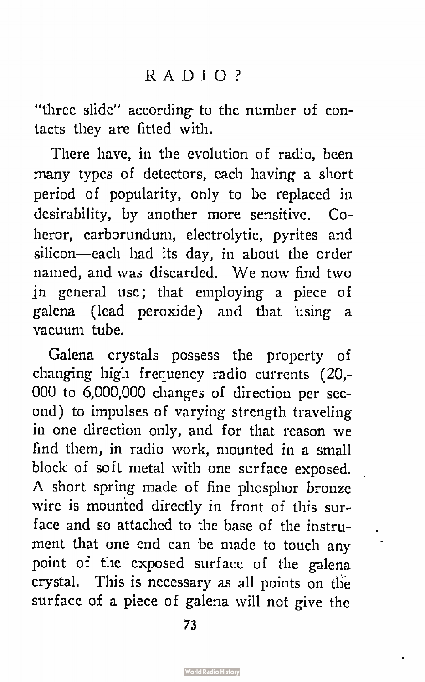"three slide" according to the number of contacts they are fitted with.

There have, in the evolution of radio, been many types of detectors, each having a short period of popularity, only to be replaced in desirability, by another more sensitive. Coheror, carborundum, electrolytic, pyrites and silicon—each had its day, in about the order named, and was discarded. We now find two jn general use; that employing a piece of galena ( lead peroxide) and that 'using a vacuum tube.

Galena crystals possess the property of changing high frequency radio currents (20,- 000 to 6,000,000 changes of direction per second) to impulses of varying strength traveling in one direction only, and for that reason we find them, in radio work, mounted in a small block of soft metal with one surface exposed. A short spring made of fine phosphor bronze wire is mounted directly in front of this surface and so attached to the base of the instrument that one end can be made to touch any point of the exposed surface of the galena crystal. This is necessary as all points on the surface of a piece of galena will not give the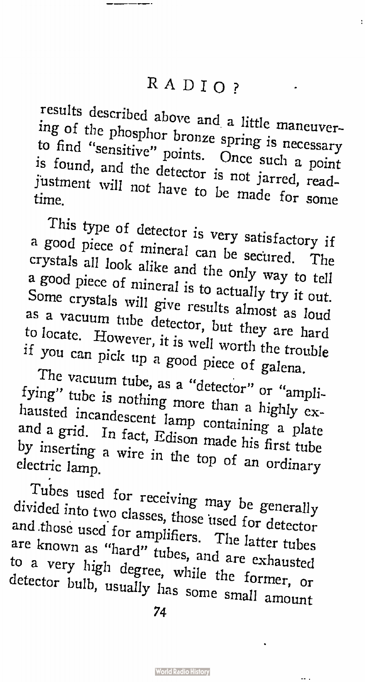ł

results described above and a little maneuvering of the phosphor bronze spring is necessary to find "sensitive" points. Once such a point is found, and the detector is not jarred, read $t$  time.

This type of detector is very satisfactory if a good piece of mineral can be secured. The crystals all look alike and the only way to tell a good piece of mineral is to actually try it out. Some crystals will give results almost as loud as a vacuum tube detector, but they are hard to locate. However, it is well worth the trouble if you can pick up a good piece of galena.

The vacuum tube, as a "detector" or "amplifying" tube is nothing more than a highly exhausted incandescent lamp containing a plate and a grid. In fact, Edison made his first tube by inserting a wire in the top of an ordinary electric lamp.

Tubes used for receiving may be generally divided into two classes, those used for detector and those used for amplifiers. The latter tubes are known as "hard" tubes, and are exhausted to a very high degree, while the former, or detector bulb, usually has some small amount

74

н,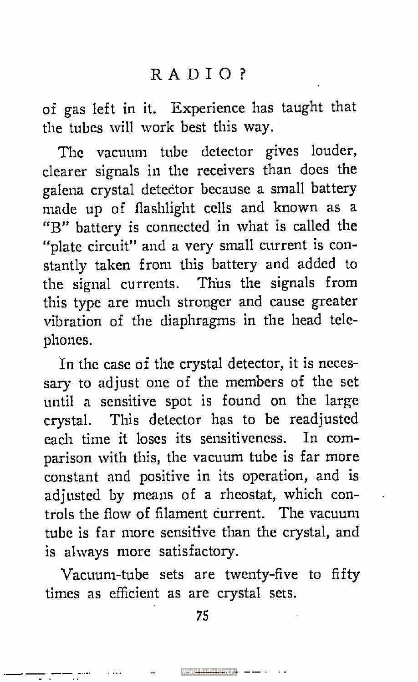of gas left in it. Experience has taught that the tubes will work best this way.

The vacuum tube detector gives louder, clearer signals in the receivers than does the galena crystal detector because a small battery made up of flashlight cells and known as a "B" battery is connected in what is called the "plate circuit" and a very small current is constantly taken from this battery and added to the signal currents. Thus the signals from this type are much stronger and cause greater vibration of the diaphragms in the head telephones.

In the case of the crystal detector, it is necessary to adjust one of the members of the set until a sensitive spot is found on the large crystal. This detector has to be readjusted each time it loses its sensitiveness. In comparison with this, the vacuum tube is far more constant and positive in its operation, and is adjusted by means of a rheostat, which controls the flow of filament current. The vacuum tube is far more sensitive than the crystal, and is always more satisfactory.

Vacuum-tube sets are twenty-five to fifty times as efficient as are crystal sets.

75

 $\blacksquare$  Worl<del>d Redio History  $\blacksquare$  - - -</del> -

tter format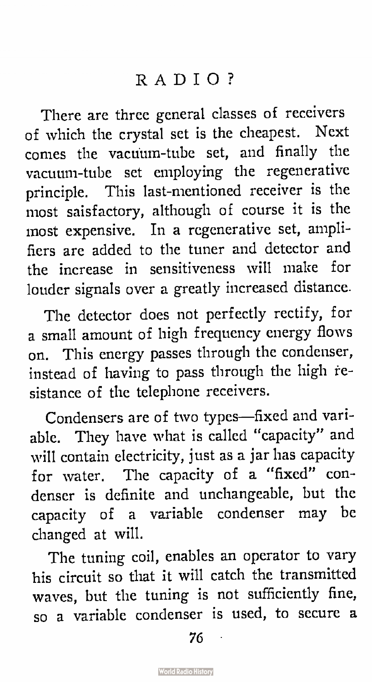There are three general classes of receivers of which the crystal set is the cheapest. Next cornes the vacuum-tube set, and finally the vacuum-tube set employing the regenerative principle. This last-mentioned receiver is the most saisfactory, although of course it is the most expensive. In a regenerative set, amplifiers are added to the tuner and detector and the increase in sensitiveness will make for louder signals over a greatly increased distance.

The detector does not perfectly rectify, for a small amount of high frequency energy flows on. This energy passes through the condenser, instead of having to pass through the high resistance of the telephone receivers.

Condensers are of two types—fixed and variable. They have what is called "capacity" and will contain electricity, just as a jar has capacity for water. The capacity of a "fixed" condenser is definite and unchangeable, but the capacity of a variable condenser may be changed at will.

The tuning coil, enables an operator to vary his circuit so that it will catch the transmitted waves, but the tuning is not sufficiently fine, so a variable condenser is used, to secure a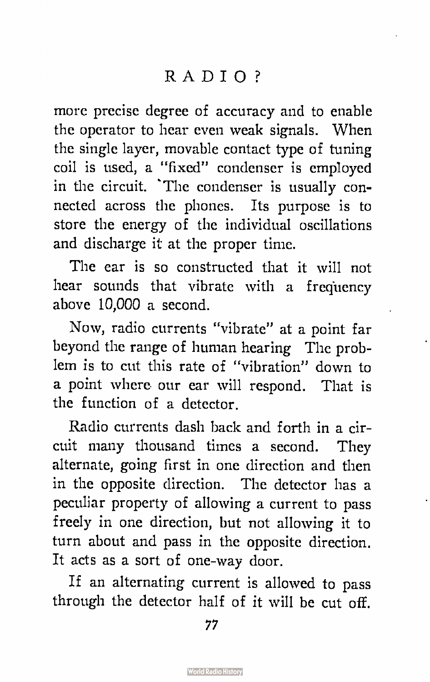more precise degree of accuracy and to enable the operator to hear even weak signals. When the single layer, movable contact type of tuning coil is used, a "fixed" condenser is employed in the circuit. 'The condenser is usually connected across the phones. Its purpose is to store the energy of the individual oscillations and discharge it at the proper time.

The ear is so constructed that it will not hear sounds that vibrate with a frequency above 10,000 a second.

Now, radio currents "vibrate" at a point far beyond the range of human hearing The problem is to cut this rate of "vibration" down to a point where our ear will respond. That is the function of a detector.

Radio currents dash back and forth in a circuit many thousand times a second. They alternate, going first in one direction and then in the opposite direction. The detector has a peculiar property of allowing a current to pass freely in one direction, but not allowing it to turn about and pass in the opposite direction. It acts as a sort of one-way door.

If an alternating current is allowed to pass through the detector half of it will be cut off.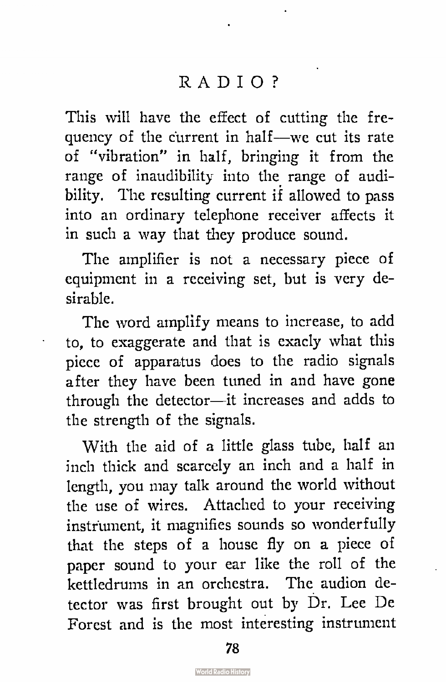This will have the effect of cutting the frequency of the current in half—we cut its rate of "vibration" in half, bringing it from the range of inaudibility into the range of audibility. The resulting current if allowed to pass into an ordinary telephone receiver affects it in such a way that they produce sound.

The amplifier is not a necessary piece of equipment in a receiving set, but is very desirable.

The word amplify means to increase, to add to, to exaggerate and that is exacly what this piece of apparatus does to the radio signals after they have been tuned in and have gone through the detector—it increases and adds to the strength of the signals.

With the aid of a little glass tube, half an inch thick and scarcely an inch and a half in length, you may talk around the world without the use of wires. Attached to your receiving instrument, it magnifies sounds so wonderfully that the steps of a house fly on a piece of paper sound to your ear like the roll of the kettledrums in an orchestra. The audion detector was first brought out by Dr. Lee De Forest and is the most interesting instrument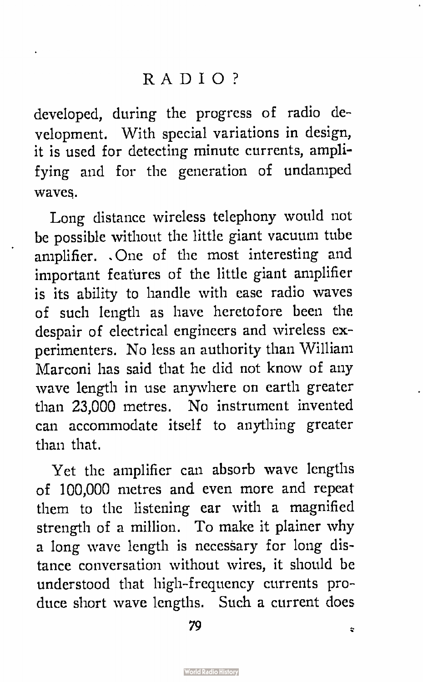developed, during the progress of radio development. With special variations in design, it is used for detecting minute currents, amplifying and for the generation of undamped waves.

Long distance wireless telephony would not be possible without the little giant vacuum tube amplifier. . One of the most interesting and important features of the little giant amplifier is its ability to handle with ease radio waves of such length as have heretofore been the despair of electrical engineers and wireless experimenters. No less an authority than William Marconi has said that he did not know of any wave length in use anywhere on earth greater than 23,000 metres. No instrument invented can accommodate itself to anything greater than that.

Yet the amplifier can absorb wave lengths of 100,000 metres and even more and repeat them to the listening ear with a magnified strength of a million. To make it plainer why a long wave length is necessary for long distance conversation without wires, it should be understood that high-frequency currents produce short wave lengths. Such a current does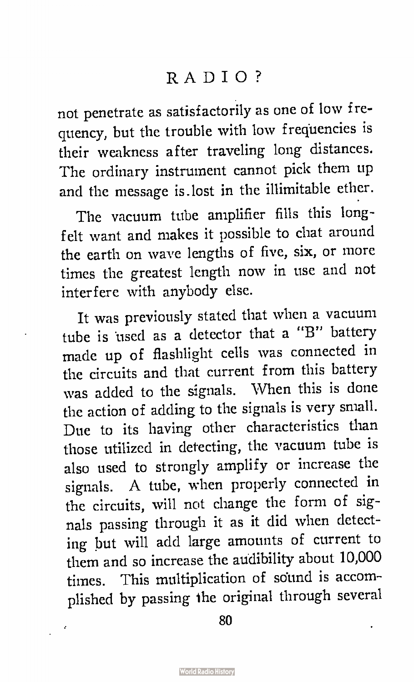not penetrate as satisfactorily as one of low frequency, but the trouble with low frequencies is their weakness after traveling long distances. The ordinary instrument cannot pick them up and the message is.lost in the illimitable ether.

The vacuum tube amplifier fills this longfelt want and makes it possible to chat around the earth on wave lengths of five, six, or more times the greatest length now in use and not interfere with anybody else.

It was previously stated that when a vacuum tube is used as a detector that a "B" battery made up of flashlight cells was connected in the circuits and that current from this battery was added to the signals. When this is done the action of adding to the signals is very small. Due to its having other characteristics than those utilized in detecting, the vacuum tube is also used to strongly amplify or increase the signals. A tube, when properly connected in the circuits, will not change the form of signals passing through it as it did when detecting but will add large amounts of current to them and so increase the audibility about 10,000 times. This multiplication of sound is accomplished by passing the original through several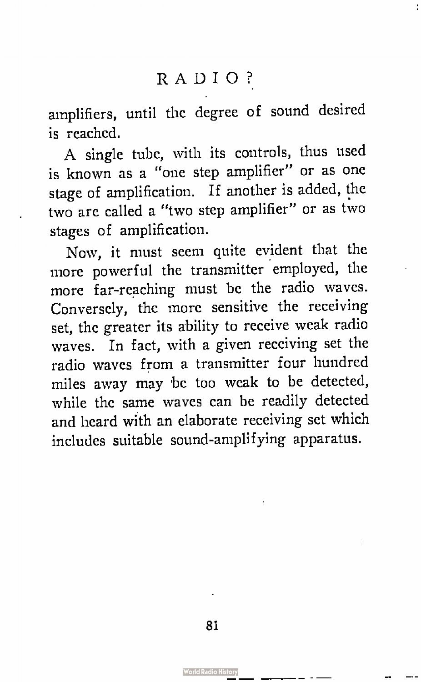amplifiers, until the degree of sound desired is reached.

A single tube, with its controls, thus used is known as a "one step amplifier" or as one stage of amplification. If another is added, the two are called a "two step amplifier" or as two stages of amplification.

Now, it must seem quite evident that the more powerful the transmitter employed, the more far-reaching must be the radio waves. Conversely, the more sensitive the receiving set, the greater its ability to receive weak radio waves. In fact, with a given receiving set the radio waves from a transmitter four hundred miles away may be too weak to be detected, while the same waves can be readily detected and heard with an elaborate receiving set which includes suitable sound-amplifying apparatus.

<u>d Radio History</u>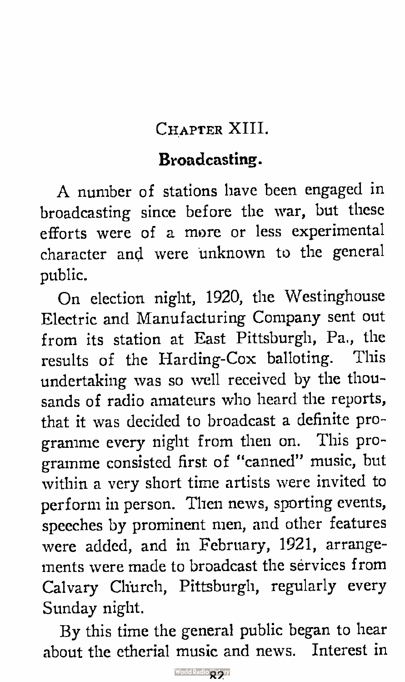## CHAPTER XIII.

## Broadcasting.

A number of stations have been engaged in broadcasting since before the war, but these efforts were of a more or less experimental character and were unknown to the general public.

On election night, 1920, the Westinghouse Electric and Manufacturing Company sent out from its station at East Pittsburgh, Pa., the results of the Harding-Cox balloting. This undertaking was so well received by the thousands of radio amateurs who heard the reports, that it was decided to broadcast a definite programme every night from then on. This programme consisted first of "canned" music, but within a very short time artists were invited to perform in person. Then news, sporting events, speeches by prominent men, and other features were added, and in February, 1921, arrangements were made to broadcast the services from Calvary Church, Pittsburgh, regularly every Sunday night.

By this time the general public began to hear about the etherial music and news. Interest in

World Radio Strary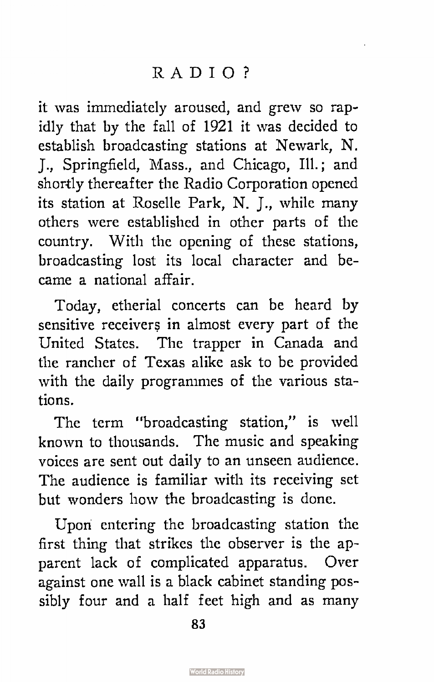it was immediately aroused, and grew so rapidly that by the fall of 1921 it was decided to establish broadcasting stations at Newark, N. J., Springfield, Mass., and Chicago, Ill.; and shortly thereafter the Radio Corporation opened its station at Roselle Park, N. J., while many others were established in other parts of the country. With the opening of these stations, broadcasting lost its local character and became a national affair.

Today, etherial concerts can be heard by sensitive receivers in almost every part of the United States. The trapper in Canada and the rancher of Texas alike ask to be provided with the daily programmes of the various stations.

The term "broadcasting station," is well known to thousands. The music and speaking voices are sent out daily to an unseen audience. The audience is familiar with its receiving set but wonders how the broadcasting is done.

Upon entering the broadcasting station the first thing that strikes the observer is the apparent lack of complicated apparatus. Over against one wall is a black cabinet standing possibly four and a half feet high and as many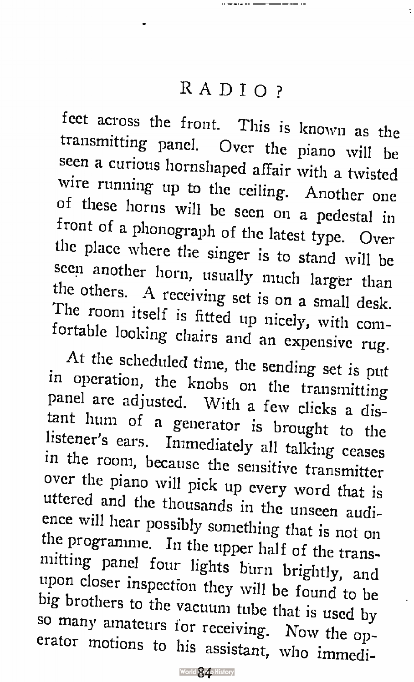$\ddot{\phantom{a}}$ 

feet across the front. This is known as the transmitting panel. Over the piano will be seen a curious hornshaped affair with a twisted wire running up to the ceiling. Another one of these horns will be seen on a pedestal in front of a phonograph of the latest type. Over the place where the singer is to stand will be seen another horn, usually much larger than the others. A receiving set is on a small desk. The room itself is fitted up nicely, with comfortable looking chairs and an expensive rug.

At the scheduled time, the sending set is put in operation, the knobs on the transmitting panel are adjusted. With a few clicks a distant hum of a generator is brought to the listener's ears. Immediately all talking ceases in the room, because the sensitive transmitter over the piano will pick up every word that is uttered and the thousands in the unseen audience will hear possibly something that is not on the programme. In the upper half of the transmitting panel four lights burn brightly, and upon closer inspection they will be found to be big brothers to the vacuum tube that is used by so many amateurs for receiving. Now the operator motions to his assistant, who immedi-

World 840 History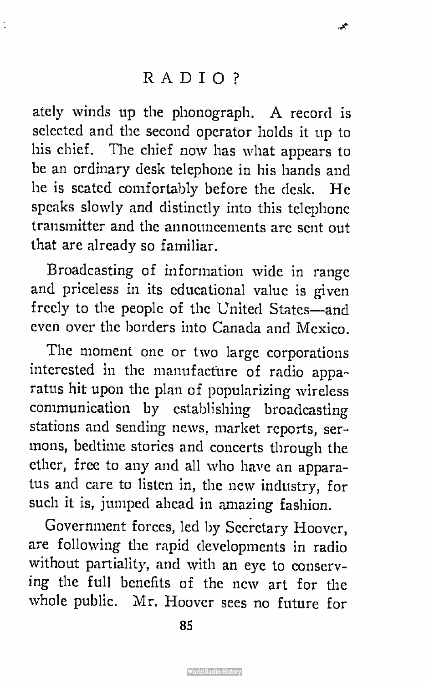جي

t

ately winds up the phonograph. A record is selected and the second operator holds it up to his chief. The chief now has what appears to be an ordinary desk telephone in his hands and he is seated comfortably before the desk. He speaks slowly and distinctly into this telephone transmitter and the announcements are sent out that are already so familiar.

Broadcasting of information wide in range and priceless in its educational value is given freely to the people of the United States—and even over the borders into Canada and Mexico.

The moment one or two large corporations interested in the manufacture of radio apparatus hit upon the plan of popularizing wireless communication by establishing broadcasting stations and sending news, market reports, sermons, bedtime stories and concerts through the ether, free to any and all who have an apparatus and care to listen in, the new industry, for such it is, jumped ahead in amazing fashion.

Government forces, led by Secretary Hoover, are following the rapid developments in radio without partiality, and with an eye to conserving the full benefits of the new art for the whole public. Mr. Hoover sees no future for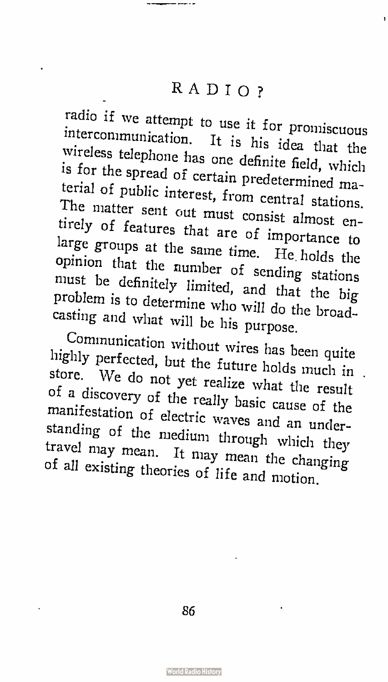radio if we attempt to use it for promiscuous intercommunication. It is his idea that the wireless telephone has one definite field, which is for the spread of certain predetermined material of public interest, from central stations. The matter sent out must consist almost entirely of features that are of importance to large groups at the same time. He. holds the opinion that the number of sending stations must be definitely limited, and that the big problem is to determine who will do the broadcasting and what will be his purpose.

Communication without wires has been quite highly perfected, but the future holds much in . store. We do not yet realize what the result of a discovery of the really basic cause of the manifestation of electric waves and an understanding of the medium through which they travel may mean. It may mean the changing of all existing theories of life and motion.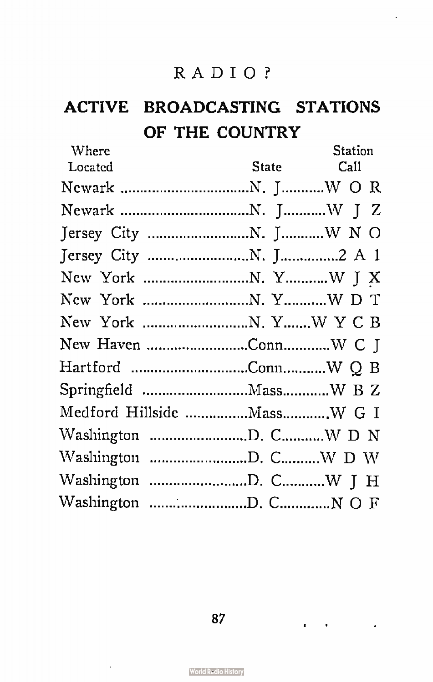# ACTIVE BROADCASTING STATIONS OF THE COUNTRY

| Where                      | Station    |
|----------------------------|------------|
| Located                    | State Call |
|                            |            |
|                            |            |
|                            |            |
|                            |            |
|                            |            |
|                            |            |
|                            |            |
|                            |            |
|                            |            |
|                            |            |
| Medford Hillside MassW G I |            |
|                            |            |
|                            |            |
|                            |            |
|                            |            |

87

 $\mathbf{z} = \mathbf{z} + \mathbf{z}$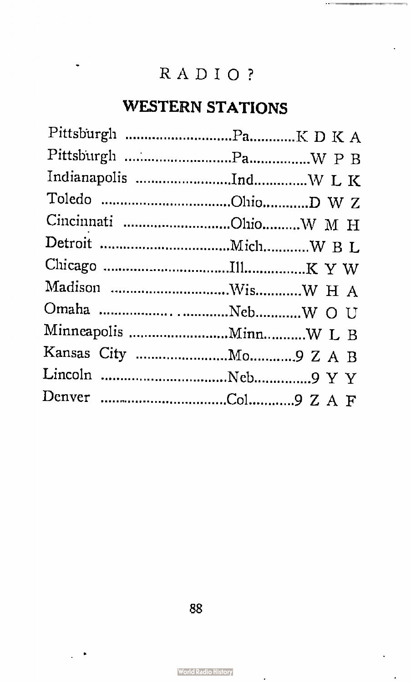# WESTERN STATIONS

ł.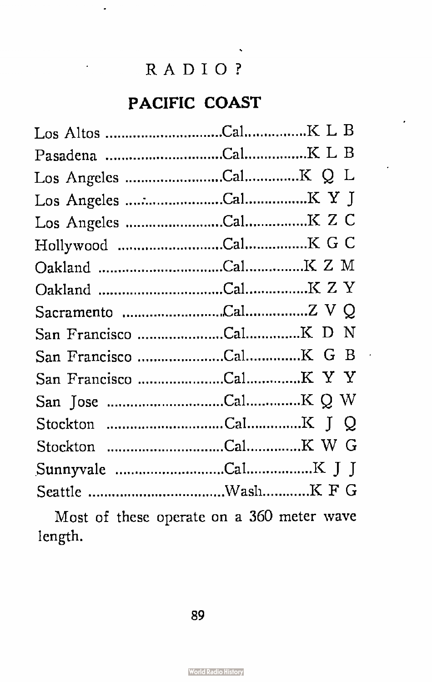J.

# PACIFIC COAST

Most of these operate on a 360 meter wave length.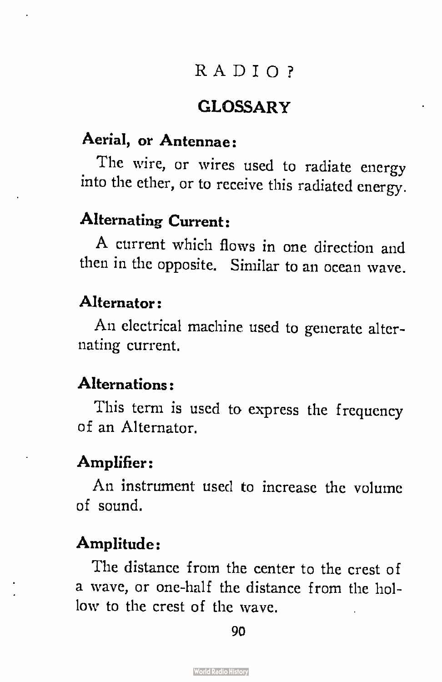## **GLOSSARY**

## Aerial, or Antennae:

The wire, or wires used to radiate energy into the ether, or to receive this radiated energy.

## Alternating Current:

A current which flows in one direction and then in the opposite. Similar to an ocean wave.

### Alternator:

An electrical machine used to generate alternating current.

#### Alternations:

This term is used to express the frequency of an Alternator.

#### Amplifier:

An instrument used to increase the volume of sound.

## Amplitude:

The distance from the center to the crest of a wave, or one-half the distance from the hollow to the crest of the wave.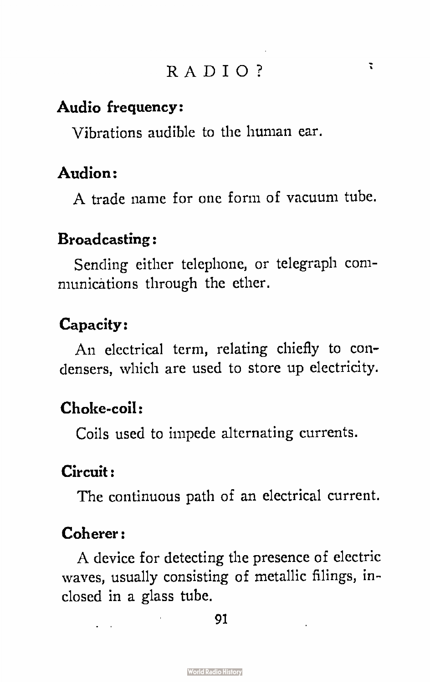#### Audio frequency:

Vibrations audible to the human ear.

## Audion:

A trade name for one form of vacuum tube.

#### Broadcasting:

Sending either telephone, or telegraph communications through the ether.

## Capacity:

An electrical term, relating chiefly to condensers, which are used to store up electricity.

# Choke-coil:

Coils used to impede alternating currents.

#### Circuit :

The continuous path of an electrical current.

#### Coherer:

A device for detecting the presence of electric waves, usually consisting of metallic filings, inclosed in a glass tube.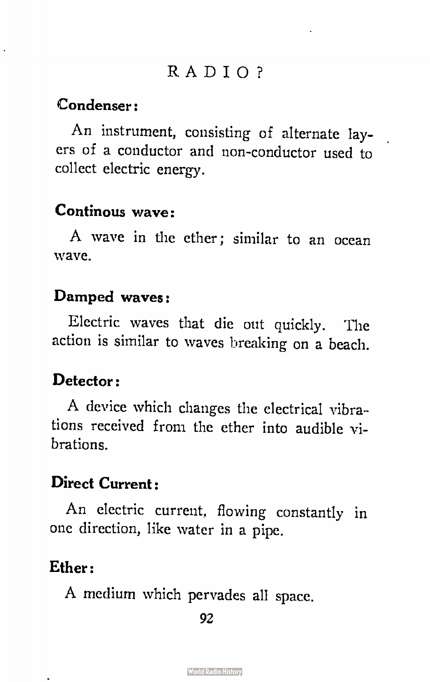#### Condenser:

l,

An instrument, consisting of alternate layers of a conductor and non-conductor used to collect electric energy.

## Continous wave:

A wave in the ether; similar to an ocean wave.

#### Damped waves:

Electric waves that die out quickly. The action is similar to waves breaking on a beach.

## Detector:

A device which changes the electrical vibrations received from the ether into audible vibrations.

### Direct Current:

An electric current, flowing constantly in one direction, like water in a pipe.

### Ether:

A medium which pervades all space.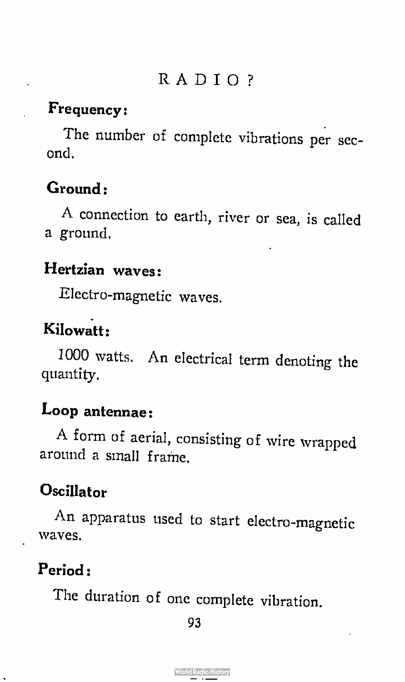## Frequency:

The number of complete vibrations per second.

## Ground:

A connection to earth, river or sea, is called a ground.

## Hertzian waves:

Electro-magnetic waves.

# Kilowatt:

1000 watts. An electrical term denoting the quantity.

## Loop antennae:

A form of aerial, consisting of wire wrapped around a sinall frame.

# **Oscillator**

An apparatus used to start electro-magnetic waves.

# Period:

The duration of one complete vibration.

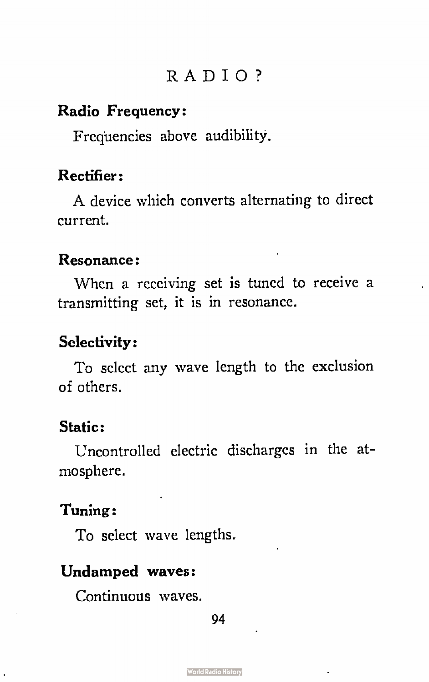#### Radio Frequency:

Frequencies above audibility.

### Rectifier:

A device which converts alternating to direct current.

#### Resonance:

When a receiving set is tuned to receive a transmitting set, it is in resonance.

### Selectivity:

To select any wave length to the exclusion of others.

## Static:

Uncontrolled electric discharges in the atmosphere.

#### Tuning:

To select wave lengths.

#### Undamped waves:

Continuous waves.